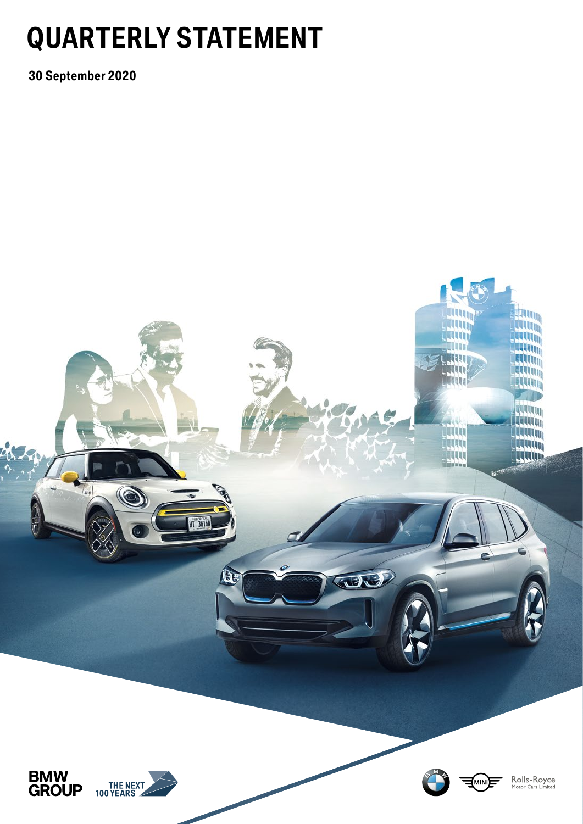# **QUARTERLY STATEMENT**

**30 September 2020**

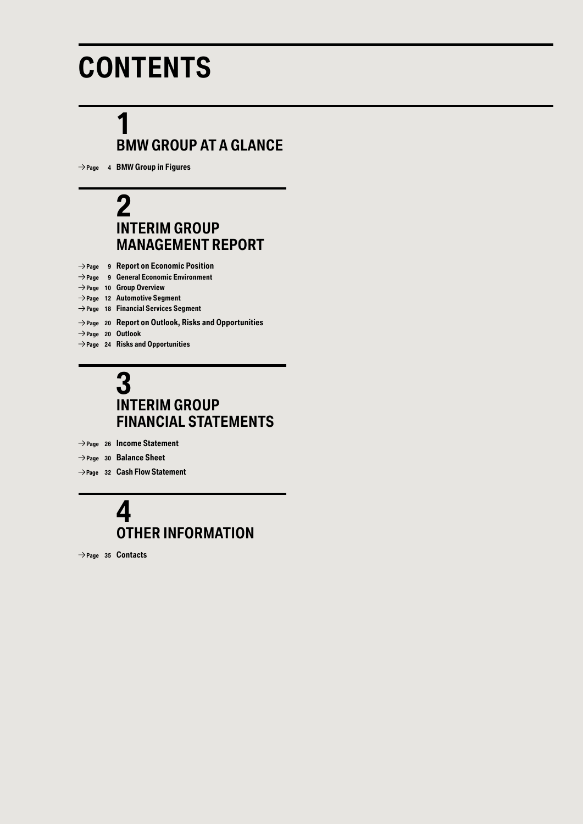# **CONTENTS**

# **1 BMW GROUP AT A GLANCE**

 **Page 4 BMW Group in Figures**

## **2 INTERIM GROUP MANAGEMENT REPORT**

 **Page 9 Report on Economic Position Page 9 General Economic Environment Page 10 Group Overview Page 12 Automotive Segment Page 18 Financial Services Segment Page 20 Report on Outlook, Risks and Opportunities Page 20 Outlook Page 24 Risks and Opportunities**

## **3 INTERIM GROUP FINANCIAL STATEMENTS**

- **Page 26 Income Statement**
- **Page 30 Balance Sheet**
- **Page 32 Cash Flow Statement**

## **4 OTHER INFORMATION**

 **Page 35 Contacts**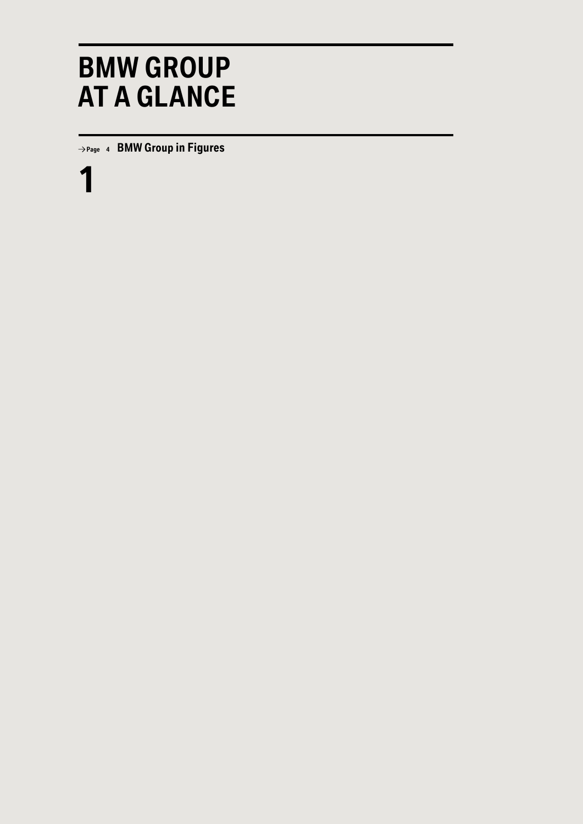# **BMW GROUP AT A GLANCE**

 **Page <sup>4</sup> BMW Group in Figures**

**1**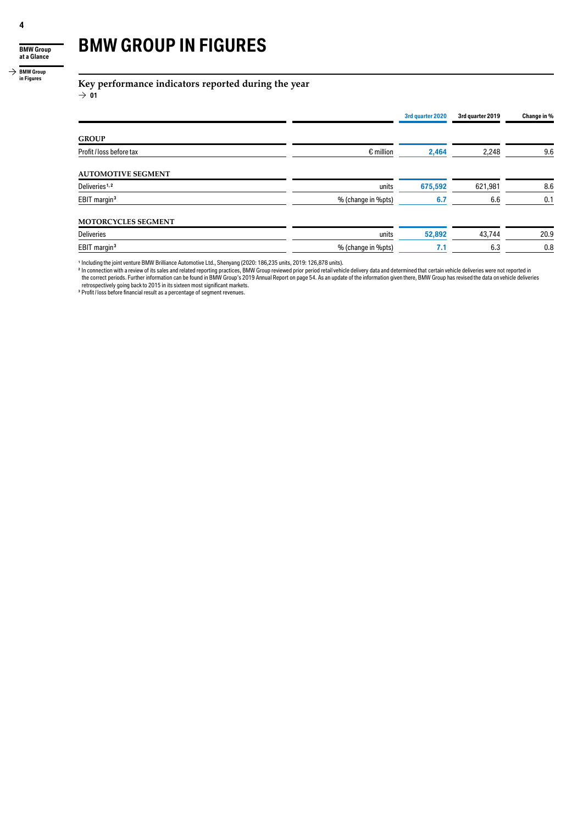**BMW Group at a Glance**

#### $\rightarrow$  **BMW Group in Figures**

# **BMW GROUP IN FIGURES**

### **Key performance indicators reported during the year**

 $\rightarrow 01$ 

|                           |                    | 3rd quarter 2020 | 3rd quarter 2019 | Change in % |
|---------------------------|--------------------|------------------|------------------|-------------|
| <b>GROUP</b>              |                    |                  |                  |             |
| Profit / loss before tax  | $\epsilon$ million | 2,464            | 2,248            | 9.6         |
| <b>AUTOMOTIVE SEGMENT</b> |                    |                  |                  |             |
| Deliveries <sup>1,2</sup> | units              | 675,592          | 621,981          | 8.6         |
| EBIT margin <sup>3</sup>  | % (change in %pts) | 6.7              | 6.6              | 0.1         |
| MOTORCYCLES SEGMENT       |                    |                  |                  |             |
| <b>Deliveries</b>         | units              | 52,892           | 43,744           | 20.9        |
| EBIT margin <sup>3</sup>  | % (change in %pts) | 7.1              | 6,3              | 0.8         |

<sup>1</sup> Including the joint venture BMW Brilliance Automotive Ltd., Shenyang (2020: 186,235 units, 2019: 126,878 units).

<sup>2</sup> In connection with a review of its sales and related reporting practices, BMW Group reviewed prior period retail vehicle delivery data and determined that certain vehicle deliveries were not reported in<br>the correct per

retrospectively going back to 2015 in its sixteen most significant markets. **<sup>3</sup>** Profit / loss before financial result as a percentage of segment revenues.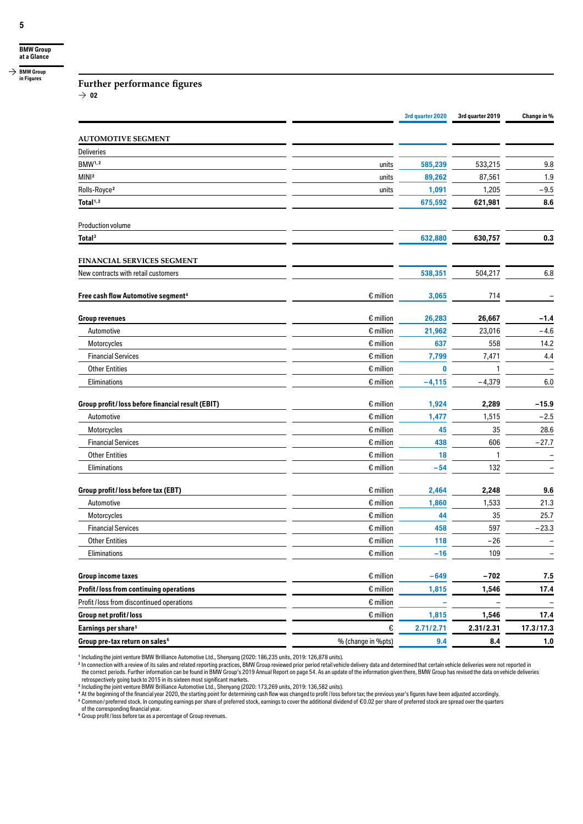**Further performance figures**

 $\rightarrow$  02

|                                                    |                    | 3rd quarter 2020 | 3rd quarter 2019 | Change in %       |
|----------------------------------------------------|--------------------|------------------|------------------|-------------------|
| <b>AUTOMOTIVE SEGMENT</b>                          |                    |                  |                  |                   |
| <b>Deliveries</b>                                  |                    |                  |                  |                   |
| <b>BMW1,2</b>                                      | units              | 585,239          | 533,215          | 9.8               |
| MIN <sub>2</sub>                                   | units              | 89,262           | 87,561           | 1.9               |
| Rolls-Royce <sup>2</sup>                           | units              | 1,091            | 1,205            | $-9.5$            |
| Total <sup>1,2</sup>                               |                    | 675,592          | 621,981          | 8.6               |
| Production volume                                  |                    |                  |                  |                   |
| Total <sup>3</sup>                                 |                    | 632,880          | 630,757          | 0.3               |
| FINANCIAL SERVICES SEGMENT                         |                    |                  |                  |                   |
| New contracts with retail customers                |                    | 538,351          | 504,217          | 6.8               |
| Free cash flow Automotive segment <sup>4</sup>     | $\epsilon$ million | 3,065            | 714              |                   |
| <b>Group revenues</b>                              | $\epsilon$ million | 26,283           | 26,667           | $-1.4$            |
| Automotive                                         | $\epsilon$ million | 21,962           | 23,016           | $-4.6$            |
| Motorcycles                                        | $\epsilon$ million | 637              | 558              | 14.2              |
| <b>Financial Services</b>                          | $\epsilon$ million | 7,799            | 7,471            | 4.4               |
| <b>Other Entities</b>                              | $\epsilon$ million | $\bf{0}$         |                  |                   |
| Eliminations                                       | $\epsilon$ million | $-4,115$         | $-4,379$         | 6.0               |
| Group profit / loss before financial result (EBIT) | $\epsilon$ million | 1,924            | 2,289            | $-15.9$           |
| Automotive                                         | $\epsilon$ million | 1,477            | 1,515            | $-2.5$            |
| Motorcycles                                        | $\epsilon$ million | 45               | 35               | 28.6              |
| <b>Financial Services</b>                          | $\epsilon$ million | 438              | 606              | $-27.7$           |
| <b>Other Entities</b>                              | $\epsilon$ million | 18               | $\mathbf{1}$     | $\qquad \qquad -$ |
| Eliminations                                       | $\epsilon$ million | $-54$            | 132              |                   |
| Group profit/loss before tax (EBT)                 | $\epsilon$ million | 2,464            | 2,248            | 9.6               |
| Automotive                                         | $\epsilon$ million | 1,860            | 1,533            | 21.3              |
| Motorcycles                                        | $\epsilon$ million | 44               | 35               | 25.7              |
| <b>Financial Services</b>                          | $\epsilon$ million | 458              | 597              | $-23.3$           |
| <b>Other Entities</b>                              | $\epsilon$ million | 118              | $-26$            |                   |
| Eliminations                                       | $\epsilon$ million | $-16$            | 109              |                   |
| <b>Group income taxes</b>                          | $\epsilon$ million | $-649$           | $-702$           | 7.5               |
| Profit/loss from continuing operations             | $\epsilon$ million | 1,815            | 1,546            | 17.4              |
| Profit / loss from discontinued operations         | $\epsilon$ million |                  |                  |                   |
| Group net profit/loss                              | $\epsilon$ million | 1,815            | 1,546            | 17.4              |
| Earnings per share <sup>5</sup>                    | €                  | 2.71/2.71        | 2.31/2.31        | 17.3/17.3         |
| Group pre-tax return on sales <sup>6</sup>         | % (change in %pts) | 9.4              | 8.4              | 1.0               |

<sup>1</sup> Including the joint venture BMW Brilliance Automotive Ltd., Shenyang (2020: 186,235 units, 2019: 126,878 units).<br><sup>2</sup> In comection with a review of its sales and related reporting practices, BMW Group reviewed prior pe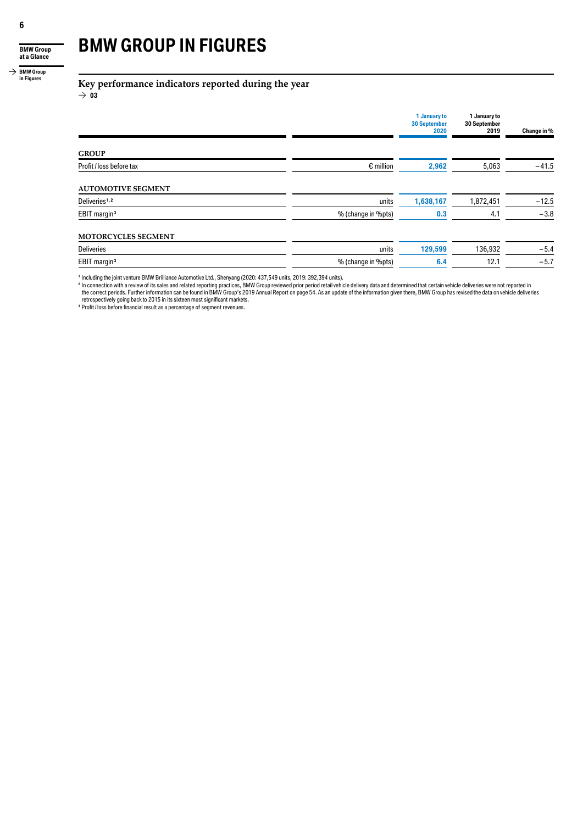**BMW Group at a Glance**

#### $\rightarrow$  **BMW Group in Figures**

## **BMW GROUP IN FIGURES**

**Key performance indicators reported during the year**

 $\rightarrow$  03

|                           |                    | 1 January to<br><b>30 September</b><br>2020 | 1 January to<br>30 September<br>2019 | Change in % |
|---------------------------|--------------------|---------------------------------------------|--------------------------------------|-------------|
| <b>GROUP</b>              |                    |                                             |                                      |             |
| Profit / loss before tax  | $\epsilon$ million | 2,962                                       | 5,063                                | $-41.5$     |
| <b>AUTOMOTIVE SEGMENT</b> |                    |                                             |                                      |             |
| Deliveries <sup>1,2</sup> | units              | 1,638,167                                   | 1,872,451                            | $-12.5$     |
| EBIT margin <sup>3</sup>  | % (change in %pts) | 0.3                                         | 4.1                                  | $-3.8$      |
| MOTORCYCLES SEGMENT       |                    |                                             |                                      |             |
| <b>Deliveries</b>         | units              | 129,599                                     | 136,932                              | $-5.4$      |
| EBIT margin <sup>3</sup>  | % (change in %pts) | 6.4                                         | 12.1                                 | $-5.7$      |

<sup>1</sup> Including the joint venture BMW Brilliance Automotive Ltd., Shenyang (2020: 437,549 units, 2019: 392,394 units).<br><sup>2</sup> In connection with a review of its sales and related reporting practices, BMW Group reviewed prior pe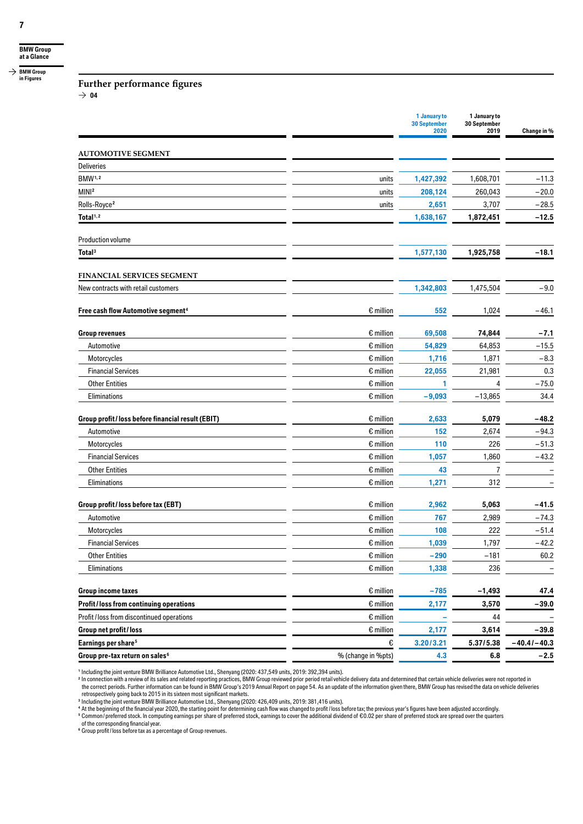#### **Further performance figures**

 $\rightarrow$  04

|                                                  |                    | 1 January to<br><b>30 September</b><br>2020 | 1 January to<br>30 September<br>2019 | Change in %     |
|--------------------------------------------------|--------------------|---------------------------------------------|--------------------------------------|-----------------|
| <b>AUTOMOTIVE SEGMENT</b>                        |                    |                                             |                                      |                 |
| <b>Deliveries</b>                                |                    |                                             |                                      |                 |
| BMW <sup>1,2</sup>                               | units              | 1,427,392                                   | 1,608,701                            | $-11.3$         |
| MINI <sup>2</sup>                                | units              | 208,124                                     | 260,043                              | $-20.0$         |
| Rolls-Royce <sup>2</sup>                         | units              | 2,651                                       | 3,707                                | $-28.5$         |
| Total <sup>1,2</sup>                             |                    | 1,638,167                                   | 1,872,451                            | $-12.5$         |
| Production volume                                |                    |                                             |                                      |                 |
| Total <sup>3</sup>                               |                    | 1,577,130                                   | 1,925,758                            | $-18.1$         |
| FINANCIAL SERVICES SEGMENT                       |                    |                                             |                                      |                 |
| New contracts with retail customers              |                    | 1,342,803                                   | 1,475,504                            | $-9.0$          |
| Free cash flow Automotive segment <sup>4</sup>   | $\epsilon$ million | 552                                         | 1,024                                | $-46.1$         |
| <b>Group revenues</b>                            | $\epsilon$ million | 69,508                                      | 74,844                               | $-7.1$          |
| Automotive                                       | $\epsilon$ million | 54,829                                      | 64,853                               | $-15.5$         |
| Motorcycles                                      | $\epsilon$ million | 1,716                                       | 1,871                                | $-8.3$          |
| <b>Financial Services</b>                        | $\epsilon$ million | 22,055                                      | 21,981                               | 0.3             |
| <b>Other Entities</b>                            | $\epsilon$ million | 1                                           | 4                                    | $-75.0$         |
| Eliminations                                     | $\epsilon$ million | $-9,093$                                    | $-13,865$                            | 34.4            |
| Group profit/loss before financial result (EBIT) | $\epsilon$ million | 2,633                                       | 5,079                                | $-48.2$         |
| Automotive                                       | $\epsilon$ million | 152                                         | 2,674                                | $-94.3$         |
| Motorcycles                                      | $\epsilon$ million | 110                                         | 226                                  | $-51.3$         |
| <b>Financial Services</b>                        | $\epsilon$ million | 1,057                                       | 1,860                                | $-43.2$         |
| <b>Other Entities</b>                            | $\epsilon$ million | 43                                          | 7                                    |                 |
| Eliminations                                     | $\epsilon$ million | 1,271                                       | 312                                  |                 |
| Group profit / loss before tax (EBT)             | $\epsilon$ million | 2,962                                       | 5,063                                | -41.5           |
| Automotive                                       | $\epsilon$ million | 767                                         | 2,989                                | $-74.3$         |
| Motorcycles                                      | $\epsilon$ million | 108                                         | 222                                  | $-51.4$         |
| <b>Financial Services</b>                        | $\epsilon$ million | 1,039                                       | 1,797                                | $-42.2$         |
| <b>Other Entities</b>                            | $\epsilon$ million | $-290$                                      | $-181$                               | 60.2            |
| Eliminations                                     | $\epsilon$ million | 1,338                                       | 236                                  |                 |
| <b>Group income taxes</b>                        | $\epsilon$ million | $-785$                                      | $-1,493$                             | 47.4            |
| Profit/loss from continuing operations           | $\epsilon$ million | 2,177                                       | 3,570                                | $-39.0$         |
| Profit / loss from discontinued operations       | $\epsilon$ million |                                             | 44                                   |                 |
| Group net profit / loss                          | $\epsilon$ million | 2,177                                       | 3,614                                | $-39.8$         |
| Earnings per share <sup>5</sup>                  | €                  | 3.20/3.21                                   | 5.37/5.38                            | $-40.4$ $-40.3$ |
| Group pre-tax return on sales <sup>6</sup>       | % (change in %pts) | 4.3                                         | $\bf6.8$                             | $-2.5$          |

<sup>1</sup> Including the joint venture BMW Brilliance Automotive Ltd., Shenyang (2020: 437,549 units, 2019: 392,394 units).<br><sup>2</sup> In connection with a review of its sales and related reporting practices, BMW Group reviewed prior pe

retrospectively going back to 2015 in its sixteen most significant markets.<br><sup>3</sup> Including the joint venture BMW Brilliance Automotive Ltd., Shenyang (2020: 426,409 units, 2019: 381,416 units).<br>4 At the beginning of the fin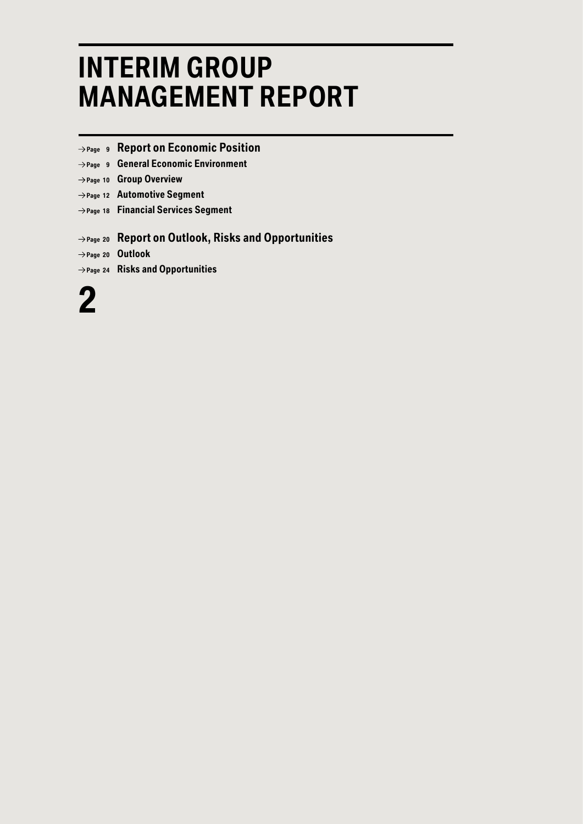# **INTERIM GROUP MANAGEMENT REPORT**

- **Page <sup>9</sup> Report on Economic Position**
- **Page <sup>9</sup> General Economic Environment**
- **Page <sup>10</sup> Group Overview**
- **Page <sup>12</sup> Automotive Segment**
- **Page <sup>18</sup> Financial Services Segment**

### **Page <sup>20</sup> Report on Outlook, Risks and Opportunities**

 **Page <sup>20</sup> Outlook**

 **Page <sup>24</sup> Risks and Opportunities**

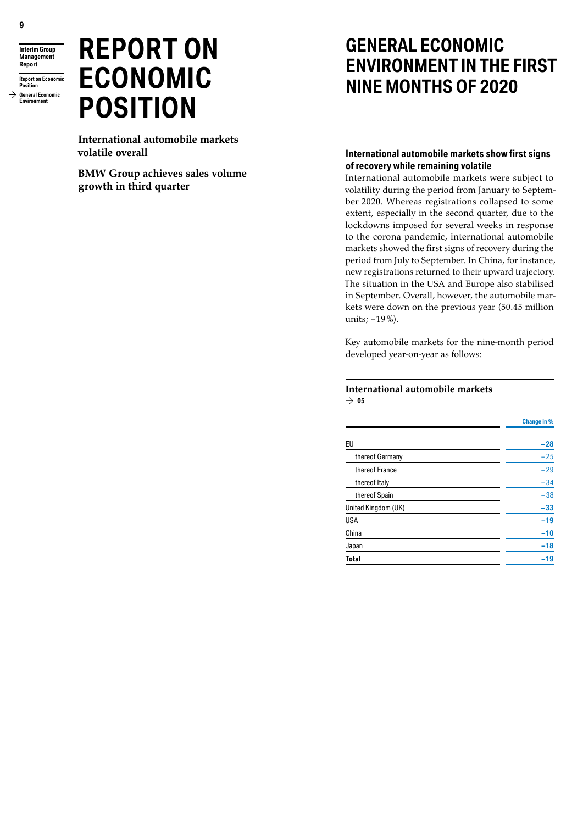**Interim Group Management Report**

**Report on Economic Position General Economic Environment**

# **REPORT ON ECONOMIC POSITION**

**International automobile markets volatile overall**

**BMW Group achieves sales volume growth in third quarter**

## **GENERAL ECONOMIC ENVIRONMENT IN THE FIRST NINE MONTHS OF 2020**

### **International automobile markets show first signs of recovery while remaining volatile**

International automobile markets were subject to volatility during the period from January to September 2020. Whereas registrations collapsed to some extent, especially in the second quarter, due to the lockdowns imposed for several weeks in response to the corona pandemic, international automobile markets showed the first signs of recovery during the period from July to September. In China, for instance, new registrations returned to their upward trajectory. The situation in the USA and Europe also stabilised in September. Overall, however, the automobile markets were down on the previous year (50.45 million units;  $-19\%$ ).

Key automobile markets for the nine-month period developed year-on-year as follows:

#### **International automobile markets**  $\rightarrow$  05

|                     | <b>Change in %</b> |
|---------------------|--------------------|
|                     |                    |
| EU                  | $-28$              |
| thereof Germany     | $-25$              |
| thereof France      | $-29$              |
| thereof Italy       | $-34$              |
| thereof Spain       | $-38$              |
| United Kingdom (UK) | $-33$              |
| USA                 | $-19$              |
| China               | $-10$              |
| Japan               | $-18$              |
| Total               | $-19$              |
|                     |                    |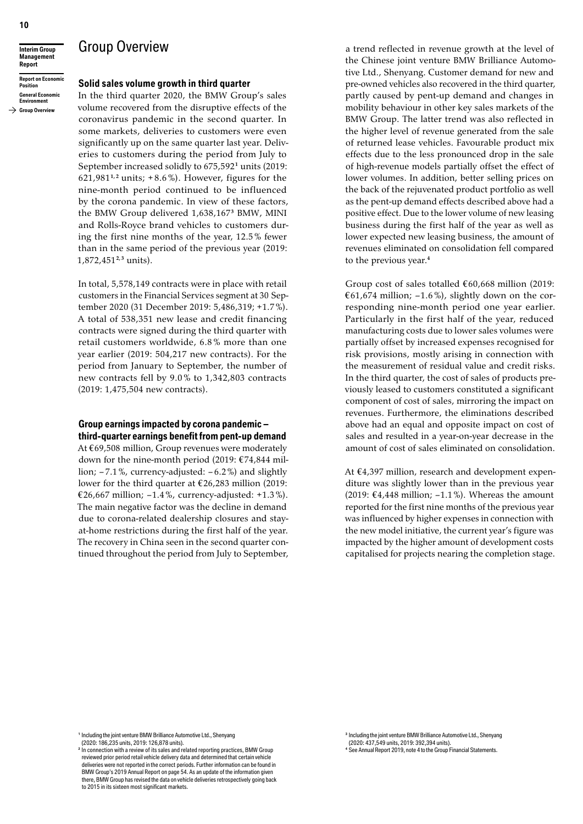**Interim Group Management Report**

**Report on Economic Position General Economic Environment**

#### $\rightarrow$  Group Overview

#### **Solid sales volume growth in third quarter**

Group Overview

In the third quarter 2020, the BMW Group's sales volume recovered from the disruptive effects of the coronavirus pandemic in the second quarter. In some markets, deliveries to customers were even significantly up on the same quarter last year. Deliveries to customers during the period from July to September increased solidly to 675,592<sup>1</sup> units (2019: 621,981<sup>1,2</sup> units;  $+8.6\%$ ). However, figures for the nine-month period continued to be influenced by the corona pandemic. In view of these factors, the BMW Group delivered 1,638,167 **<sup>3</sup>** BMW, MINI and Rolls-Royce brand vehicles to customers during the first nine months of the year, 12.5 % fewer than in the same period of the previous year (2019: 1,872,451 **2, <sup>3</sup>** units).

In total, 5,578,149 contracts were in place with retail customers in the Financial Services segment at 30 September 2020 (31 December 2019: 5,486,319; +1.7%). A total of 538,351 new lease and credit financing contracts were signed during the third quarter with retail customers worldwide, 6.8 % more than one year earlier (2019: 504,217 new contracts). For the period from January to September, the number of new contracts fell by 9.0 % to 1,342,803 contracts (2019: 1,475,504 new contracts).

#### **Group earnings impacted by corona pandemic – third-quarter earnings benefit from pent-up demand**

At €69,508 million, Group revenues were moderately down for the nine-month period (2019:  $E74,844$  million;  $-7.1$ %, currency-adjusted:  $-6.2$ %) and slightly lower for the third quarter at  $£26,283$  million (2019: €26,667 million;  $-1.4\%$ , currency-adjusted:  $+1.3\%$ ). The main negative factor was the decline in demand due to corona-related dealership closures and stayat-home restrictions during the first half of the year. The recovery in China seen in the second quarter continued throughout the period from July to September,

a trend reflected in revenue growth at the level of the Chinese joint venture BMW Brilliance Automotive Ltd., Shenyang. Customer demand for new and pre-owned vehicles also recovered in the third quarter, partly caused by pent-up demand and changes in mobility behaviour in other key sales markets of the BMW Group. The latter trend was also reflected in the higher level of revenue generated from the sale of returned lease vehicles. Favourable product mix effects due to the less pronounced drop in the sale of high-revenue models partially offset the effect of lower volumes. In addition, better selling prices on the back of the rejuvenated product portfolio as well as the pent-up demand effects described above had a positive effect. Due to the lower volume of new leasing business during the first half of the year as well as lower expected new leasing business, the amount of revenues eliminated on consolidation fell compared to the previous year.**<sup>4</sup>**

Group cost of sales totalled  $€60,668$  million (2019: €61,674 million;  $-1.6\%$ ), slightly down on the corresponding nine-month period one year earlier. Particularly in the first half of the year, reduced manufacturing costs due to lower sales volumes were partially offset by increased expenses recognised for risk provisions, mostly arising in connection with the measurement of residual value and credit risks. In the third quarter, the cost of sales of products previously leased to customers constituted a significant component of cost of sales, mirroring the impact on revenues. Furthermore, the eliminations described above had an equal and opposite impact on cost of sales and resulted in a year-on-year decrease in the amount of cost of sales eliminated on consolidation.

At €4,397 million, research and development expenditure was slightly lower than in the previous year (2019:  $\text{\textsterling}4,448$  million; -1.1%). Whereas the amount reported for the first nine months of the previous year was influenced by higher expenses in connection with the new model initiative, the current year's figure was impacted by the higher amount of development costs capitalised for projects nearing the completion stage.

**<sup>1</sup>** Including the jointventure BMW Brilliance Automotive Ltd., Shenyang (2020: 186,235 units, 2019: 126,878 units).

<sup>3</sup> Including the joint venture BMW Brilliance Automotive Ltd., Shenyang (2020: 437,549 units, 2019: 392,394 units). **<sup>4</sup>** See Annual Report 2019, note 4to the Group Financial Statements.

<sup>&</sup>lt;sup>2</sup> In connection with a review of its sales and related reporting practices, BMW Group reviewed prior period retailvehicle delivery data and determined that certain vehicle deliveries were not reported in the correct periods. Further information can be found in BMW Group's 2019 Annual Report on page 54. As an update of the information given there, BMW Group has revised the data on vehicle deliveries retrospectively going back to 2015 in its sixteen most significant markets.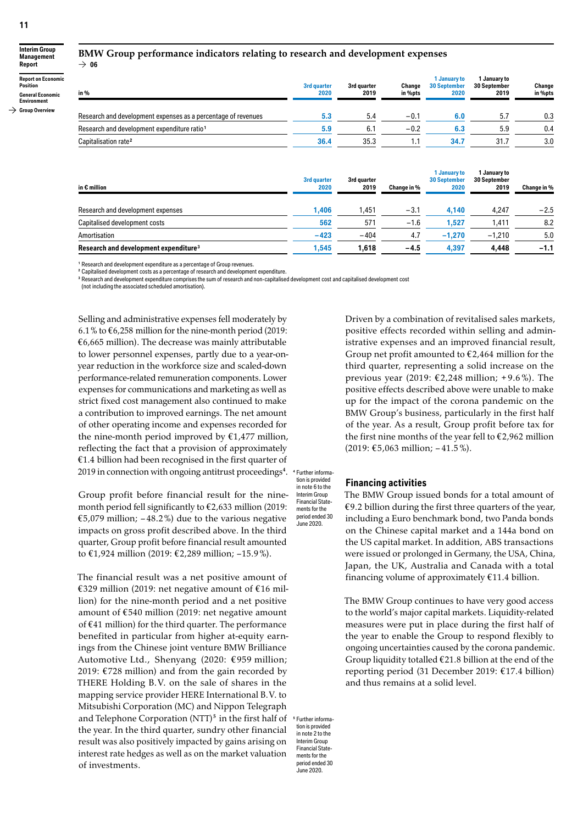**Interim Group Management Report Report on Economic Position**

 $\rightarrow$  06

#### **General Economic Environment**

**Group Overview**

#### **BMW Group performance indicators relating to research and development expenses**

| in %                                                          | 3rd quarter<br>2020 | 3rd guarter<br>2019 | Change<br>in %pts | 1 January to<br><b>30 September</b><br>2020 | 1 January to<br>30 September<br>2019 | Change<br>in %pts |
|---------------------------------------------------------------|---------------------|---------------------|-------------------|---------------------------------------------|--------------------------------------|-------------------|
| Research and development expenses as a percentage of revenues | 5.3                 | 5.4                 | $-0.1$            | 6.0                                         | 5.                                   | 0.3               |
| Research and development expenditure ratio <sup>1</sup>       | 5.9                 | 6.1                 | $-0.2$            | 6.3                                         | 5.9                                  | 0.4               |
| Capitalisation rate <sup>2</sup>                              | 36.4                | 35.3                |                   | 34.7                                        | 31.7                                 | 3.0               |

| in $\epsilon$ million                             | 3rd quarter<br>2020 | 3rd quarter<br>2019 | Change in % | I January to<br><b>30 September</b><br>2020 | January to<br><b>30 September</b><br>2019 | Change in % |
|---------------------------------------------------|---------------------|---------------------|-------------|---------------------------------------------|-------------------------------------------|-------------|
| Research and development expenses                 | 1.406               | .451                | $-3.1$      | 4.140                                       | 4.247                                     | $-2.5$      |
| Capitalised development costs                     | 562                 | 571                 | $-1.6$      | 1.527                                       | 1,411                                     | 8.2         |
| Amortisation                                      | $-423$              | $-404$              | 4.7         | $-1,270$                                    | $-1.210$                                  | 5.0         |
| Research and development expenditure <sup>3</sup> | 1.545               | 1.618               | $-4.5$      | 4,397                                       | 4.448                                     | $-1.1$      |

**<sup>1</sup>** Research and development expenditure as a percentage of Group revenues.

**<sup>2</sup>** Capitalised development costs as a percentage of research and development expenditure.

**<sup>3</sup>** Research and development expenditure comprises the sum of research and non-capitalised development cost and capitalised development cost

(not including the associated scheduled amortisation).

Selling and administrative expenses fell moderately by 6.1 % to  $\epsilon$ 6,258 million for the nine-month period (2019:  $€6,665$  million). The decrease was mainly attributable to lower personnel expenses, partly due to a year-onyear reduction in the workforce size and scaled-down performance-related remuneration components. Lower expenses for communications and marketing as well as strict fixed cost management also continued to make a contribution to improved earnings. The net amount of other operating income and expenses recorded for the nine-month period improved by  $£1,477$  million, reflecting the fact that a provision of approximately  $€1.4$  billion had been recognised in the first quarter of 2019 in connection with ongoing antitrust proceedings<sup>4</sup>.

Group profit before financial result for the ninemonth period fell significantly to €2,633 million (2019: €5,079 million;  $-48.2%$ ) due to the various negative impacts on gross profit described above. In the third quarter, Group profit before financial result amounted to €1,924 million (2019: €2,289 million; -15.9%).

The financial result was a net positive amount of €329 million (2019: net negative amount of €16 million) for the nine-month period and a net positive amount of € 540 million (2019: net negative amount of € 41 million) for the third quarter. The performance benefited in particular from higher at-equity earnings from the Chinese joint venture BMW Brilliance Automotive Ltd., Shenyang (2020: €959 million; 2019: €728 million) and from the gain recorded by THERE Holding B.V. on the sale of shares in the mapping service provider HERE International B. V. to Mitsubishi Corporation (MC) and Nippon Telegraph and Telephone Corporation (NTT) **<sup>5</sup>**in the first half of the year. In the third quarter, sundry other financial result was also positively impacted by gains arising on interest rate hedges as well as on the market valuation of investments.

Driven by a combination of revitalised sales markets, positive effects recorded within selling and administrative expenses and an improved financial result, Group net profit amounted to  $\epsilon$ 2,464 million for the third quarter, representing a solid increase on the previous year (2019: €2,248 million; +9.6%). The positive effects described above were unable to make up for the impact of the corona pandemic on the BMW Group's business, particularly in the first half of the year. As a result, Group profit before tax for the first nine months of the year fell to  $\epsilon$ 2,962 million (2019: € 5,063 million; – 41.5 %).

#### **<sup>4</sup>** Further information is provided

#### **Financing activities**

The BMW Group issued bonds for a total amount of €9.2 billion during the first three quarters of the year, including a Euro benchmark bond, two Panda bonds on the Chinese capital market and a 144a bond on the US capital market. In addition, ABS transactions were issued or prolonged in Germany, the USA, China, Japan, the UK, Australia and Canada with a total financing volume of approximately  $£11.4$  billion.

The BMW Group continues to have very good access to the world's major capital markets. Liquidity-related measures were put in place during the first half of the year to enable the Group to respond flexibly to ongoing uncertainties caused by the corona pandemic. Group liquidity totalled € 21.8 billion at the end of the reporting period (31 December 2019: € 17.4 billion) and thus remains at a solid level.

**<sup>5</sup>** Further information is provided in note 2 to the Interim Group Financial Statements for the period ended 30 June 2020.

in note 6 to the Interim Group Financial Statements for the period ended 30 .<br>June 2020.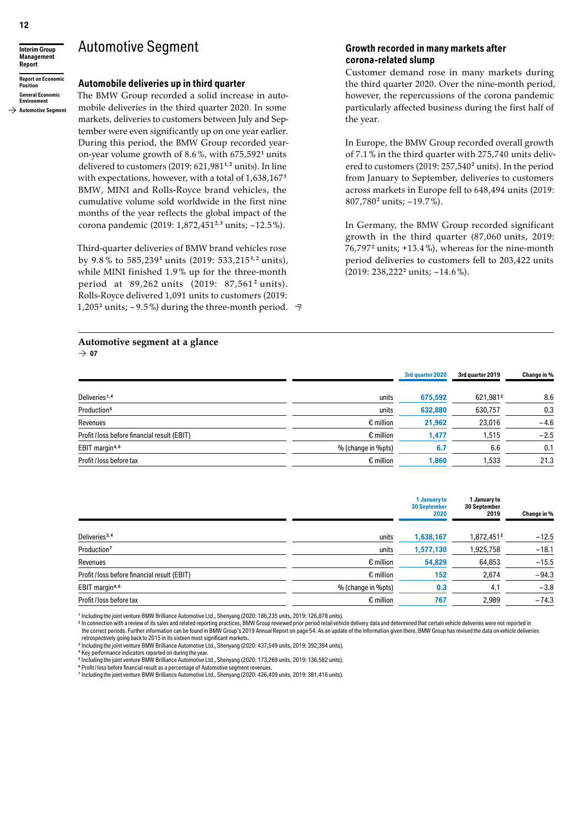#### **Interim Group Management Report**

**Report on Economic Position General Economic Environment**

#### **Automotive Segment**

### **Automobile deliveries up in third quarter**

Automotive Segment

The BMW Group recorded a solid increase in automobile deliveries in the third quarter 2020. In some markets, deliveries to customers between July and September were even significantly up on one year earlier. During this period, the BMW Group recorded yearon-year volume growth of 8.6%, with 675,592 **<sup>1</sup>** units delivered to customers (2019: 621,981 **1, <sup>2</sup>** units). In line with expectations, however, with a total of 1,638,167 **<sup>3</sup>** BMW, MINI and Rolls-Royce brand vehicles, the cumulative volume sold worldwide in the first nine months of the year reflects the global impact of the corona pandemic (2019: 1,872,451 **2, <sup>3</sup>** units; – 12.5%).

Third-quarter deliveries of BMW brand vehicles rose by 9.8 % to 585,239 **<sup>1</sup>** units (2019: 533,215 **1, <sup>2</sup>** units), while MINI finished 1.9 % up for the three-month period at 89,262 units (2019: 87,561 **<sup>2</sup>** units). Rolls-Royce delivered 1,091 units to customers (2019: 1,205<sup>2</sup> units;  $-9.5\%$ ) during the three-month period.  $\neg$ 

#### **Automotive segment at a glance**

 $\rightarrow$  07

#### **Growth recorded in many markets after corona-related slump**

Customer demand rose in many markets during the third quarter 2020. Over the nine-month period, however, the repercussions of the corona pandemic particularly affected business during the first half of the year.

In Europe, the BMW Group recorded overall growth of 7.1 % in the third quarter with 275,740 units delivered to customers (2019: 257,540 **<sup>2</sup>** units). In the period from January to September, deliveries to customers across markets in Europe fell to 648,494 units (2019: 807,780 **<sup>2</sup>** units; – 19.7 %).

In Germany, the BMW Group recorded significant growth in the third quarter (87,060 units, 2019:  $76,797^2$  units;  $+13.4\%$ ), whereas for the nine-month period deliveries to customers fell to 203,422 units (2019: 238,222 **<sup>2</sup>** units; – 14.6 %).

**3rd quarter 2020 3rd quarter 2019 Change in %**

| Deliveries <sup>1,4</sup>                    | units              | 675.592 | 621.9812 | 8.6    |
|----------------------------------------------|--------------------|---------|----------|--------|
| Production <sup>5</sup>                      | units              | 632,880 | 630.757  | 0.3    |
| Revenues                                     | $\epsilon$ million | 21,962  | 23,016   | $-4.6$ |
| Profit / loss before financial result (EBIT) | $\epsilon$ million | 1.477   | 1.515    | $-2.5$ |
| EBIT margin <sup>4,6</sup>                   | % (change in %pts) | 6.7     | 6.6      | 0.1    |
| Profit / loss before tax                     | $\epsilon$ million | 1,860   | 1.533    | 21.3   |

|                                              |                    | 1 January to<br><b>30 September</b><br>2020 | 1 January to<br>30 September<br>2019 | Change in % |
|----------------------------------------------|--------------------|---------------------------------------------|--------------------------------------|-------------|
| Deliveries <sup>3,4</sup>                    | units              | 1,638,167                                   | 1,872,4512                           | $-12.5$     |
| Production <sup>7</sup>                      | units              | 1,577,130                                   | 1,925,758                            | $-18.1$     |
| Revenues                                     | $\epsilon$ million | 54,829                                      | 64,853                               | $-15.5$     |
| Profit / loss before financial result (EBIT) | $\epsilon$ million | 152                                         | 2,674                                | $-94.3$     |
| EBIT margin <sup>4,6</sup>                   | % (change in %pts) | 0.3                                         | 4.1                                  | $-3.8$      |
| Profit / loss before tax                     | $\epsilon$ million | 767                                         | 2,989                                | $-74.3$     |

**<sup>1</sup>** Including the jointventure BMW Brilliance Automotive Ltd., Shenyang (2020: 186,235 units, 2019: 126,878 units).

<sup>2</sup> In connection with a review of its sales and related reporting practices, BMW Group reviewed prior period retail vehicle delivery data and determined that certain vehicle deliveries were not reported in the correct periods. Further information can be found in BMW Group's 2019 Annual Report on page 54. As an update of the information given there, BMW Group has revised the data on vehicle deliveries retrospectively going back to 2015 in its sixteen most significant markets.

<sup>3</sup> Including the joint venture BMW Brilliance Automotive Ltd., Shenyang (2020: 437,549 units, 2019: 392,394 units).

**<sup>4</sup>** Key performance indicators reported on during the year.

<sup>5</sup> Including the joint venture BMW Brilliance Automotive Ltd., Shenyang (2020: 173,269 units, 2019: 136,582 units).

<sup>6</sup> Profit / loss before financial result as a percentage of Automotive segment revenue <sup>7</sup> Including the joint venture BMW Brilliance Automotive Ltd., Shenyang (2020: 426,409 units, 2019: 381,416 units).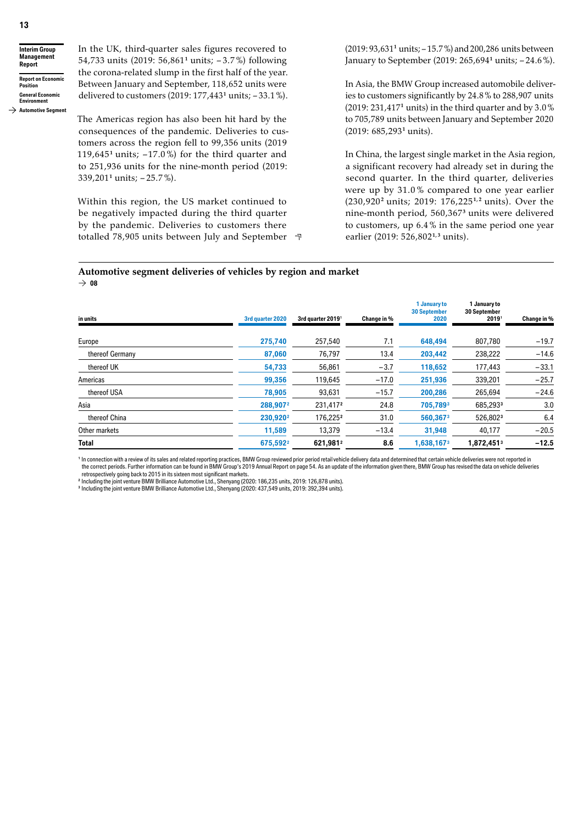**Interim Group Management Report Report on Economic Position General Economic** 

In the UK, third-quarter sales figures recovered to 54,733 units (2019: 56,861 **<sup>1</sup>** units; – 3.7 %) following the corona-related slump in the first half of the year. Between January and September, 118,652 units were delivered to customers (2019: 177,443 **<sup>1</sup>** units; – 33.1 %).

**Environment Automotive Segment**

The Americas region has also been hit hard by the consequences of the pandemic. Deliveries to customers across the region fell to 99,356 units (2019 119,645<sup>1</sup> units;  $-17.0\%$ ) for the third quarter and to 251,936 units for the nine-month period (2019: 339,201<sup>1</sup> units;  $-25.7\%$ ).

Within this region, the US market continued to be negatively impacted during the third quarter by the pandemic. Deliveries to customers there totalled 78,905 units between July and September

(2019: 93,631 **<sup>1</sup>** units; – 15.7%) and 200,286 units between January to September (2019: 265,694 **<sup>1</sup>** units; – 24.6%).

In Asia, the BMW Group increased automobile deliveries to customers significantly by 24.8% to 288,907 units (2019: 231,417 **<sup>1</sup>** units) in the third quarter and by 3.0% to 705,789 units between January and September 2020 (2019: 685,293 **<sup>1</sup>** units).

In China, the largest single market in the Asia region, a significant recovery had already set in during the second quarter. In the third quarter, deliveries were up by 31.0 % compared to one year earlier (230,920 **<sup>2</sup>** units; 2019: 176,225 **1, <sup>2</sup>** units). Over the nine-month period, 560,367 **<sup>3</sup>** units were delivered to customers, up 6.4 % in the same period one year earlier (2019: 526,802 **1, <sup>3</sup>** units).

#### **Automotive segment deliveries of vehicles by region and market**  $\rightarrow$  08

| 3rd quarter 2020     | 3rd quarter 2019 <sup>1</sup> | Change in % | <b>30 September</b><br>2020 | <b>30 September</b><br>20191 | Change in %                  |
|----------------------|-------------------------------|-------------|-----------------------------|------------------------------|------------------------------|
|                      |                               |             |                             |                              |                              |
| 275,740              | 257,540                       | 7.1         | 648,494                     | 807,780                      | $-19.7$                      |
| 87,060               | 76,797                        | 13.4        | 203,442                     | 238,222                      | $-14.6$                      |
| 54,733               | 56,861                        | $-3.7$      | 118,652                     | 177,443                      | $-33.1$                      |
| 99,356               | 119,645                       | $-17.0$     | 251,936                     | 339,201                      | $-25.7$                      |
| 78,905               | 93,631                        | $-15.7$     | 200,286                     | 265.694                      | $-24.6$                      |
| 288,9072             | 231,417 <sup>2</sup>          | 24.8        | 705,7893                    | 685,2933                     | 3.0                          |
| 230,920 <sup>2</sup> | 176,2252                      | 31.0        | 560,3673                    | 526,8023                     | 6.4                          |
| 11,589               | 13,379                        | $-13.4$     | 31,948                      | 40,177                       | $-20.5$                      |
| 675,592 <sup>2</sup> | 621,9812                      | 8.6         | 1,638,167 <sup>3</sup>      | 1,872,4513                   | $-12.5$                      |
|                      |                               |             |                             |                              | 1 January to<br>1 January to |

<sup>1</sup> In connection with a review of its sales and related reporting practices, BMW Group reviewed prior period retail vehicle delivery data and determined that certain vehicle deliveries were not reported in the correct periods. Further information can be found in BMW Group's 2019 Annual Report on page 54. As an update of the information given there, BMW Group has revised the data on vehicle deliveries

retrospectively going back to 2015 in its sixteen most significant markets.<br><sup>2</sup> Including the joint venture BMW Brilliance Automotive Ltd., Shenyang (2020: 186,235 units, 2019: 126,878 units).

**<sup>3</sup>** Including the jointventure BMW Brilliance Automotive Ltd., Shenyang (2020: 437,549 units, 2019: 392,394 units).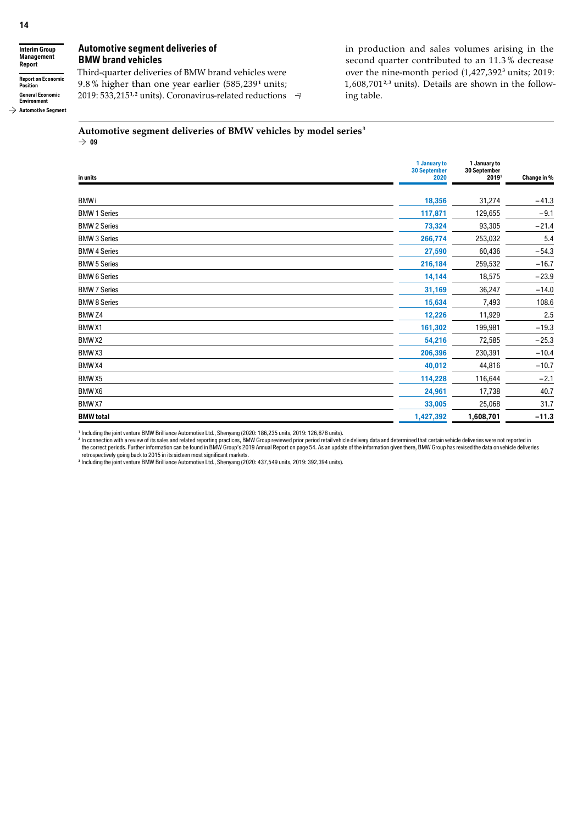**Interim Group Management Report Report on Economic Position General Economic Environment**

 $\rightarrow$  Automotive Segment

#### **Automotive segment deliveries of BMW brand vehicles**

Third-quarter deliveries of BMW brand vehicles were 9.8 % higher than one year earlier (585,239 **<sup>1</sup>** units; 2019: 533,215 **1, <sup>2</sup>** units). Coronavirus-related reductions

in production and sales volumes arising in the second quarter contributed to an 11.3 % decrease over the nine-month period (1,427,392 **<sup>3</sup>** units; 2019: 1,608,701 **2, <sup>3</sup>** units). Details are shown in the following table.

### **Automotive segment deliveries of BMW vehicles by model series <sup>3</sup>**

|                     | 1 January to<br><b>30 September</b> | 1 January to<br>30 September |             |
|---------------------|-------------------------------------|------------------------------|-------------|
| in units            | 2020                                | 2019 <sup>2</sup>            | Change in % |
| <b>BMWi</b>         | 18,356                              | 31,274                       | $-41.3$     |
| <b>BMW 1 Series</b> | 117,871                             | 129,655                      | $-9.1$      |
| <b>BMW 2 Series</b> | 73,324                              | 93,305                       | $-21.4$     |
| <b>BMW 3 Series</b> | 266,774                             | 253,032                      | 5.4         |
| <b>BMW 4 Series</b> | 27,590                              | 60,436                       | $-54.3$     |
| <b>BMW 5 Series</b> | 216,184                             | 259,532                      | $-16.7$     |
| <b>BMW 6 Series</b> | 14,144                              | 18,575                       | $-23.9$     |
| <b>BMW 7 Series</b> | 31,169                              | 36,247                       | $-14.0$     |
| <b>BMW 8 Series</b> | 15,634                              | 7,493                        | 108.6       |
| BMW <sub>Z4</sub>   | 12,226                              | 11,929                       | 2.5         |
| BMW <sub>X1</sub>   | 161,302                             | 199,981                      | $-19.3$     |
| BMW X2              | 54,216                              | 72,585                       | $-25.3$     |
| BMWX3               | 206,396                             | 230,391                      | $-10.4$     |
| BMW X4              | 40,012                              | 44,816                       | $-10.7$     |
| BMW <sub>X5</sub>   | 114,228                             | 116,644                      | $-2.1$      |
| BMW <sub>X6</sub>   | 24,961                              | 17,738                       | 40.7        |
| BMW X7              | 33,005                              | 25,068                       | 31.7        |
| <b>BMW</b> total    | 1,427,392                           | 1,608,701                    | $-11.3$     |

<sup>1</sup> Including the joint venture BMW Brilliance Automotive Ltd., Shenyang (2020: 186,235 units, 2019: 126,878 units).<br><sup>2</sup> In connection with a review of its sales and related reporting practices, BMW Group reviewed prior pe

retrospectively going back to 2015 in its sixteen most significant markets.<br><sup>3</sup> Including the joint venture BMW Brilliance Automotive Ltd., Shenyang (2020: 437,549 units, 2019: 392,394 units).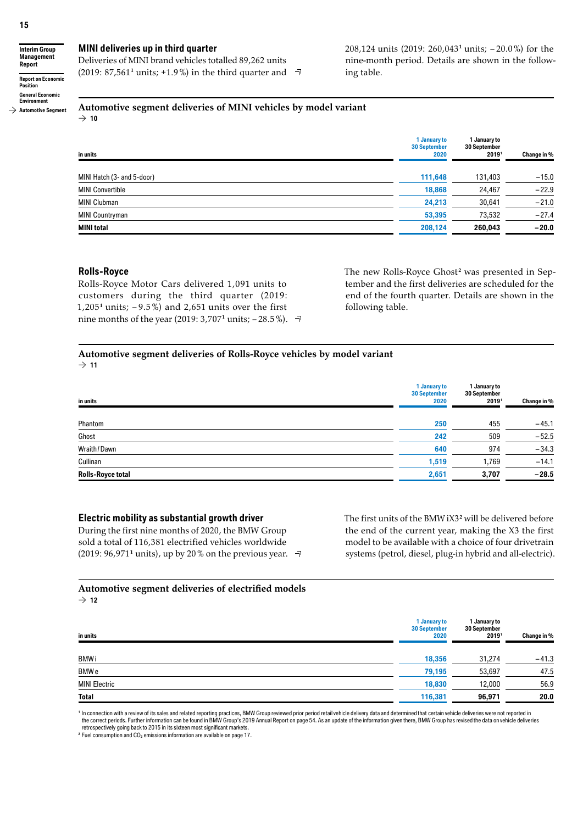**Interim Group Management Report Report on Economic Position General Economic Environment**

 $\rightarrow$  Automotive Segment

#### **MINI deliveries up in third quarter**

Deliveries of MINI brand vehicles totalled 89,262 units  $(2019: 87,561<sup>1</sup>$  units; +1.9%) in the third quarter and  $\neg$  208,124 units (2019: 260,043 **<sup>1</sup>** units; – 20.0%) for the nine-month period. Details are shown in the following table.

### **Automotive segment deliveries of MINI vehicles by model variant**

 $\rightarrow$  10

| in units                   | 1 January to<br><b>30 September</b><br>2020 | 1 January to<br>30 September<br>20191 | Change in % |
|----------------------------|---------------------------------------------|---------------------------------------|-------------|
| MINI Hatch (3- and 5-door) | 111,648                                     | 131,403                               | $-15.0$     |
| <b>MINI Convertible</b>    | 18,868                                      | 24,467                                | $-22.9$     |
| <b>MINI Clubman</b>        | 24,213                                      | 30,641                                | $-21.0$     |
| <b>MINI Countryman</b>     | 53,395                                      | 73,532                                | $-27.4$     |
| <b>MINI total</b>          | 208,124                                     | 260,043                               | $-20.0$     |

#### **Rolls-Royce**

Rolls-Royce Motor Cars delivered 1,091 units to customers during the third quarter (2019: 1,205<sup>1</sup> units;  $-9.5\%$ ) and 2,651 units over the first nine months of the year (2019:  $3,707^1$  units;  $-28.5\%$ ).  $\neg$  The new Rolls-Royce Ghost<sup>2</sup> was presented in September and the first deliveries are scheduled for the end of the fourth quarter. Details are shown in the following table.

#### **Automotive segment deliveries of Rolls-Royce vehicles by model variant**  $\rightarrow$  11

| in units          | 1 January to<br><b>30 September</b><br>2020 | 1 January to<br>30 September<br>2019 | Change in % |
|-------------------|---------------------------------------------|--------------------------------------|-------------|
| Phantom           | 250                                         | 455                                  | $-45.1$     |
| Ghost             | 242                                         | 509                                  | $-52.5$     |
| Wraith / Dawn     | 640                                         | 974                                  | $-34.3$     |
| Cullinan          | 1,519                                       | 1,769                                | $-14.1$     |
| Rolls-Royce total | 2,651                                       | 3,707                                | $-28.5$     |

#### **Electric mobility as substantial growth driver**

During the first nine months of 2020, the BMW Group sold a total of 116,381 electrified vehicles worldwide (2019: 96,971**<sup>1</sup>** units), up by 20 % on the previous year. The first units of the BMWiX3**<sup>2</sup>** will be delivered before the end of the current year, making the X3 the first model to be available with a choice of four drivetrain systems (petrol, diesel, plug-in hybrid and all-electric).

### **Automotive segment deliveries of electrified models**

 $\rightarrow$  12

| in units             | 1 January to<br><b>30 September</b><br>2020 | 1 January to<br><b>30 September</b><br>2019 | Change in % |
|----------------------|---------------------------------------------|---------------------------------------------|-------------|
| <b>BMWi</b>          | 18,356                                      | 31.274                                      | $-41.3$     |
| BMW e                | 79,195                                      | 53,697                                      | 47.5        |
| <b>MINI Electric</b> | 18,830                                      | 12,000                                      | 56.9        |
| <b>Total</b>         | 116,381                                     | 96,971                                      | 20.0        |

**<sup>1</sup>** In connection with a review of its sales and related reporting practices, BMW Group reviewed prior period retailvehicle delivery data and determined that certain vehicle deliveries were not reported in the correct periods. Further information can be found in BMW Group's 2019 Annual Report on page 54. As an update of the information given there, BMW Group has revised the data on vehicle deliveries retrospectively going back to 2015 in its sixteen most significant markets.

**<sup>2</sup>** Fuel consumption and CO**<sup>2</sup>** emissions information are available on page 17.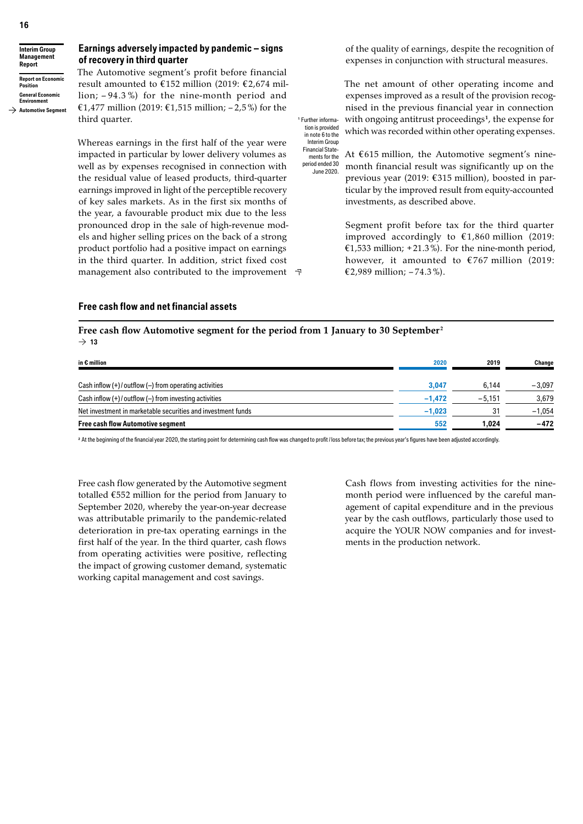#### **Interim Group Management Report Report on Economic Position General Economic Environment**

 $\rightarrow$  Automotive Seament

### **Earnings adversely impacted by pandemic – signs of recovery in third quarter**

The Automotive segment's profit before financial result amounted to  $£152$  million (2019:  $£2,674$  million; – 94.3 %) for the nine-month period and €1,477 million (2019: €1,515 million; -2,5%) for the third quarter.

Whereas earnings in the first half of the year were impacted in particular by lower delivery volumes as well as by expenses recognised in connection with the residual value of leased products, third-quarter earnings improved in light of the perceptible recovery of key sales markets. As in the first six months of the year, a favourable product mix due to the less pronounced drop in the sale of high-revenue models and higher selling prices on the back of a strong product portfolio had a positive impact on earnings in the third quarter. In addition, strict fixed cost management also contributed to the improvement of the quality of earnings, despite the recognition of expenses in conjunction with structural measures.

The net amount of other operating income and expenses improved as a result of the provision recognised in the previous financial year in connection with ongoing antitrust proceedings<sup>1</sup>, the expense for which was recorded within other operating expenses. **<sup>1</sup>** Further information is provided in note 6 to the Interim Group

At  $€615$  million, the Automotive segment's ninemonth financial result was significantly up on the previous year (2019: € 315 million), boosted in particular by the improved result from equity-accounted investments, as described above. Financial Statements for the period ended 30 June 2020.

> Segment profit before tax for the third quarter improved accordingly to  $£1,860$  million (2019: €1,533 million; +21.3%). For the nine-month period, however, it amounted to  $\epsilon$ 767 million (2019: € 2,989 million;  $-74.3\%$ ).

### **Free cash flow and net financial assets**

**Free cash flow Automotive segment for the period from 1 January to 30 September <sup>2</sup>**  $\rightarrow$  13

| in $\epsilon$ million                                        | 2020     | 2019     | Change   |
|--------------------------------------------------------------|----------|----------|----------|
| Cash inflow $(+)$ / outflow $(-)$ from operating activities  | 3.047    | 6.144    | $-3.097$ |
| Cash inflow $(+)$ / outflow $(-)$ from investing activities  | $-1.472$ | $-5.151$ | 3.679    |
| Net investment in marketable securities and investment funds | $-1,023$ | 31       | $-1,054$ |
| <b>Free cash flow Automotive segment</b>                     | 552      | 1.024    | $-472$   |

<sup>2</sup> At the beginning of the financial year 2020, the starting point for determining cash flow was changed to profit / loss before tax; the previous year's figures have been adjusted accordingly.

Free cash flow generated by the Automotive segment totalled  $€552$  million for the period from January to September 2020, whereby the year-on-year decrease was attributable primarily to the pandemic-related deterioration in pre-tax operating earnings in the first half of the year. In the third quarter, cash flows from operating activities were positive, reflecting the impact of growing customer demand, systematic working capital management and cost savings.

Cash flows from investing activities for the ninemonth period were influenced by the careful management of capital expenditure and in the previous year by the cash outflows, particularly those used to acquire the YOUR NOW companies and for investments in the production network.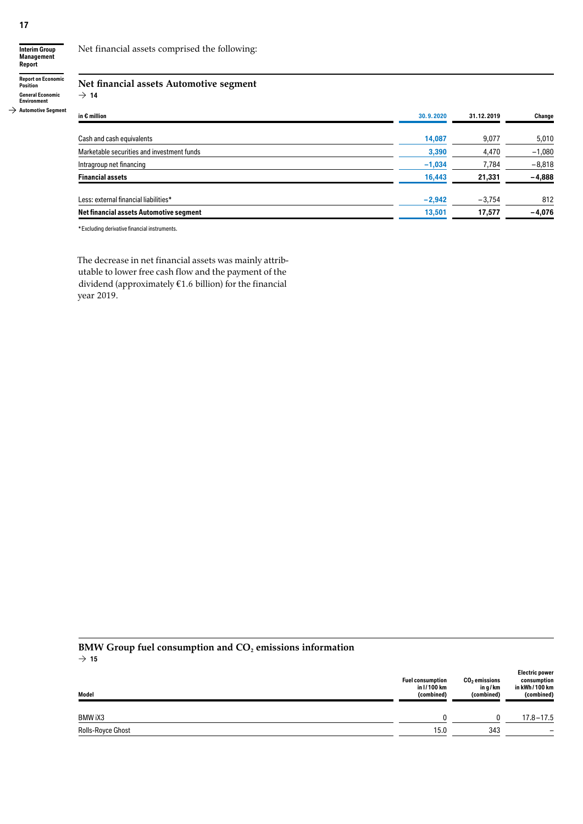**17**

**Interim Group Management Report**

**Report on Economic Position General Economic Environment**

 $\rightarrow$  14

 $\rightarrow$  Automotive Segment

# **Net financial assets Automotive segment**

Net financial assets comprised the following:

| in $\epsilon$ million                          | 30.9.2020 | 31.12.2019 | Change   |
|------------------------------------------------|-----------|------------|----------|
| Cash and cash equivalents                      | 14,087    | 9,077      | 5,010    |
| Marketable securities and investment funds     | 3,390     | 4,470      | $-1,080$ |
| Intragroup net financing                       | $-1,034$  | 7,784      | $-8,818$ |
| <b>Financial assets</b>                        | 16,443    | 21,331     | $-4,888$ |
| Less: external financial liabilities*          | $-2,942$  | $-3,754$   | 812      |
| <b>Net financial assets Automotive segment</b> | 13,501    | 17,577     | $-4,076$ |

\*Excluding derivative financial instruments.

The decrease in net financial assets was mainly attributable to lower free cash flow and the payment of the dividend (approximately  $€1.6$  billion) for the financial year 2019.

#### BMW Group fuel consumption and CO<sub>2</sub> emissions information  $\rightarrow$  15

| Model             | <b>Fuel consumption</b><br>in I / 100 km<br>(combined) | $CO2$ emissions<br>in q/km<br>(combined) | <b>Electric power</b><br>consumption<br>in kWh / 100 km<br>(combined) |
|-------------------|--------------------------------------------------------|------------------------------------------|-----------------------------------------------------------------------|
| BMW iX3           |                                                        |                                          | $17.8 - 17.5$                                                         |
| Rolls-Royce Ghost | 15.0                                                   | 343                                      |                                                                       |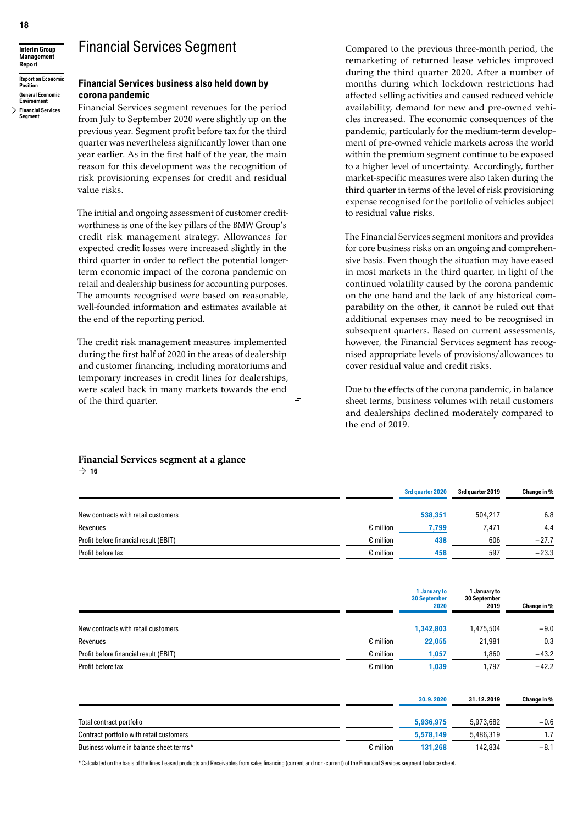### Financial Services Segment



**Report on Economic Position General Economic** 

**Environment**  $\rightarrow$  Financial Services **Segment**

### **Financial Services business also held down by corona pandemic**

Financial Services segment revenues for the period from July to September 2020 were slightly up on the previous year. Segment profit before tax for the third quarter was nevertheless significantly lower than one year earlier. As in the first half of the year, the main reason for this development was the recognition of risk provisioning expenses for credit and residual value risks.

The initial and ongoing assessment of customer creditworthiness is one of the key pillars of the BMW Group's credit risk management strategy. Allowances for expected credit losses were increased slightly in the third quarter in order to reflect the potential longerterm economic impact of the corona pandemic on retail and dealership business for accounting purposes. The amounts recognised were based on reasonable, well-founded information and estimates available at the end of the reporting period.

The credit risk management measures implemented during the first half of 2020 in the areas of dealership and customer financing, including moratoriums and temporary increases in credit lines for dealerships, were scaled back in many markets towards the end of the third quarter.

Compared to the previous three-month period, the remarketing of returned lease vehicles improved during the third quarter 2020. After a number of months during which lockdown restrictions had affected selling activities and caused reduced vehicle availability, demand for new and pre-owned vehicles increased. The economic consequences of the pandemic, particularly for the medium-term development of pre-owned vehicle markets across the world within the premium segment continue to be exposed to a higher level of uncertainty. Accordingly, further market-specific measures were also taken during the third quarter in terms of the level of risk provisioning expense recognised for the portfolio of vehicles subject to residual value risks.

The Financial Services segment monitors and provides for core business risks on an ongoing and comprehensive basis. Even though the situation may have eased in most markets in the third quarter, in light of the continued volatility caused by the corona pandemic on the one hand and the lack of any historical comparability on the other, it cannot be ruled out that additional expenses may need to be recognised in subsequent quarters. Based on current assessments, however, the Financial Services segment has recognised appropriate levels of provisions / allowances to cover residual value and credit risks.

Due to the effects of the corona pandemic, in balance sheet terms, business volumes with retail customers and dealerships declined moderately compared to the end of 2019.

|                                       |                    | 3rd quarter 2020 | 3rd quarter 2019 | Change in % |
|---------------------------------------|--------------------|------------------|------------------|-------------|
| New contracts with retail customers   |                    | 538,351          | 504.217          | 6.8         |
| Revenues                              | $\epsilon$ million | 7.799            | 7.471            | 4.4         |
| Profit before financial result (EBIT) | $\epsilon$ million | 438              | 606              | $-27.7$     |
| Profit before tax                     | $\epsilon$ million | 458              | 597              | $-23.3$     |

 $\exists$ 

|                                       |                    | 1 January to<br><b>30 September</b><br>2020 | 1 January to<br>30 September<br>2019 | Change in % |
|---------------------------------------|--------------------|---------------------------------------------|--------------------------------------|-------------|
| New contracts with retail customers   |                    | 1,342,803                                   | 1,475,504                            | $-9.0$      |
| Revenues                              | $\epsilon$ million | 22,055                                      | 21,981                               | 0.3         |
| Profit before financial result (EBIT) | $\epsilon$ million | 1,057                                       | 1,860                                | $-43.2$     |
| Profit before tax                     | $\epsilon$ million | 1,039                                       | 1,797                                | $-42.2$     |

|                                          |                    | 30.9.2020 | 31.12.2019 | Change in % |
|------------------------------------------|--------------------|-----------|------------|-------------|
| Total contract portfolio                 |                    | 5,936,975 | 5.973.682  | $-0.6$      |
| Contract portfolio with retail customers |                    | 5,578,149 | 5.486.319  | 1.7         |
| Business volume in balance sheet terms*  | $\epsilon$ million | 131.268   | 142,834    | $-8.1$      |

\*Calculated on the basis of the lines Leased products and Receivables from sales financing (current and non-current) of the Financial Services segment balance sheet.

**Financial Services segment at a glance**  $\rightarrow$  16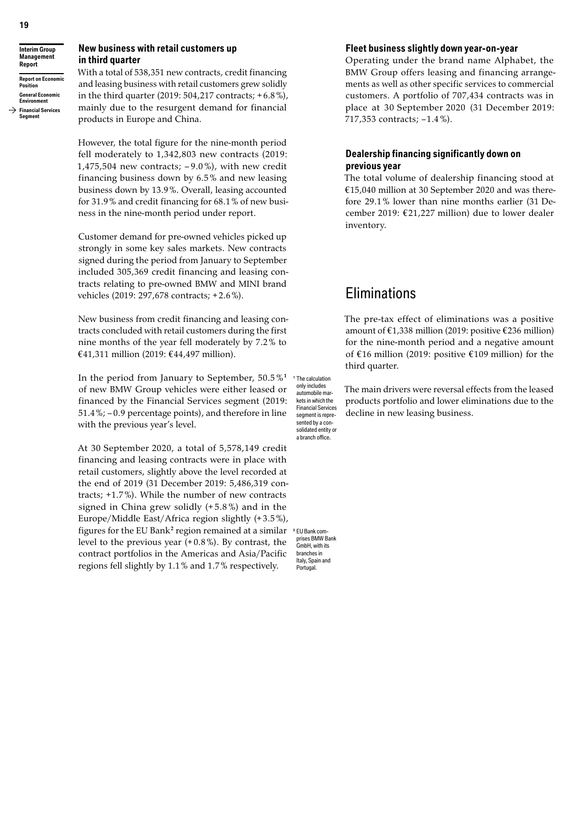**Interim Group Management Report Report on Economic Position**

#### **General Economic Environment**

 $\rightarrow$  Financial Services **Segment**

### **New business with retail customers up in third quarter**

With a total of 538,351 new contracts, credit financing and leasing business with retail customers grew solidly in the third quarter (2019: 504,217 contracts; + 6.8%), mainly due to the resurgent demand for financial products in Europe and China.

However, the total figure for the nine-month period fell moderately to 1,342,803 new contracts (2019: 1,475,504 new contracts;  $-9.0\%$ ), with new credit financing business down by 6.5% and new leasing business down by 13.9%. Overall, leasing accounted for 31.9% and credit financing for 68.1% of new business in the nine-month period under report.

Customer demand for pre-owned vehicles picked up strongly in some key sales markets. New contracts signed during the period from January to September included 305,369 credit financing and leasing contracts relating to pre-owned BMW and MINI brand vehicles (2019: 297,678 contracts; + 2.6%).

New business from credit financing and leasing contracts concluded with retail customers during the first nine months of the year fell moderately by 7.2% to € 41,311 million (2019: € 44,497 million).

In the period from January to September, 50.5%<sup>1</sup> The calculation of new BMW Group vehicles were either leased or financed by the Financial Services segment (2019: 51.4%; – 0.9 percentage points), and therefore in line with the previous year's level.

At 30 September 2020, a total of 5,578,149 credit financing and leasing contracts were in place with retail customers, slightly above the level recorded at the end of 2019 (31 December 2019: 5,486,319 contracts;  $+1.7\%$ ). While the number of new contracts signed in China grew solidly (+ 5.8 %) and in the Europe/Middle East/Africa region slightly (+3.5%), figures for the EU Bank<sup>2</sup> region remained at a similar level to the previous year (+ 0.8%). By contrast, the contract portfolios in the Americas and Asia / Pacific regions fell slightly by 1.1% and 1.7% respectively.

only includes automobile markets in which the Financial Services segment is represented by a consolidated entity or a branch office.

#### **Fleet business slightly down year-on-year**

Operating under the brand name Alphabet, the BMW Group offers leasing and financing arrangements as well as other specific services to commercial customers. A portfolio of 707,434 contracts was in place at 30 September 2020 (31 December 2019: 717,353 contracts; -1.4%).

#### **Dealership financing significantly down on previous year**

The total volume of dealership financing stood at € 15,040 million at 30 September 2020 and was therefore 29.1% lower than nine months earlier (31 December 2019:  $£21,227$  million) due to lower dealer inventory.

### **Eliminations**

The pre-tax effect of eliminations was a positive amount of  $£1,338$  million (2019: positive  $£236$  million) for the nine-month period and a negative amount of €16 million (2019: positive €109 million) for the third quarter.

The main drivers were reversal effects from the leased products portfolio and lower eliminations due to the decline in new leasing business.

**<sup>2</sup>** EU Bank comprises BMW Bank GmbH, with its branches in Italy, Spain and Portugal.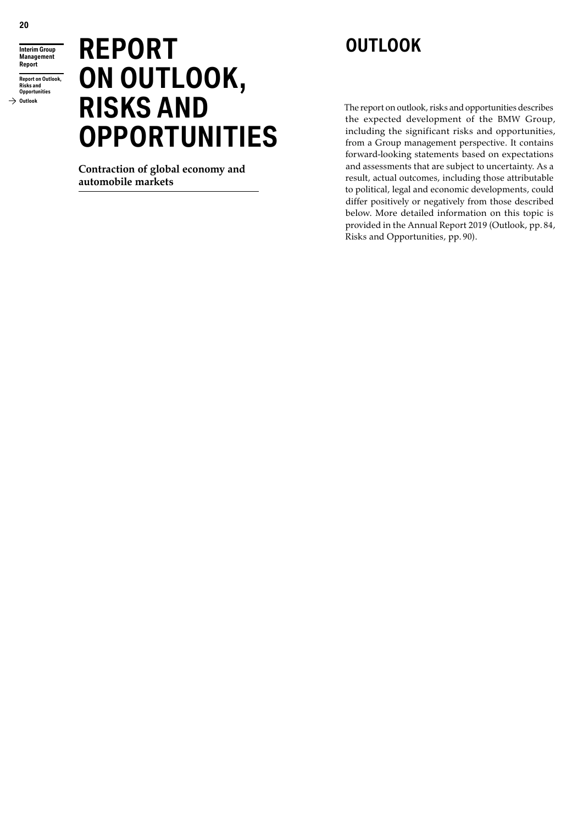**Interim Group Management Report**

**Report on Outlook, Risks and Opportunities Outlook**

# **REPORT ON OUTLOOK, RISKS AND OPPORTUNITIES**

**Contraction of global economy and automobile markets**

# **OUTLOOK**

The report on outlook, risks and opportunities describes the expected development of the BMW Group, including the significant risks and opportunities, from a Group management perspective. It contains forward-looking statements based on expectations and assessments that are subject to uncertainty. As a result, actual outcomes, including those attributable to political, legal and economic developments, could differ positively or negatively from those described below. More detailed information on this topic is provided in the Annual Report 2019 (Outlook, pp. 84, Risks and Opportunities, pp. 90).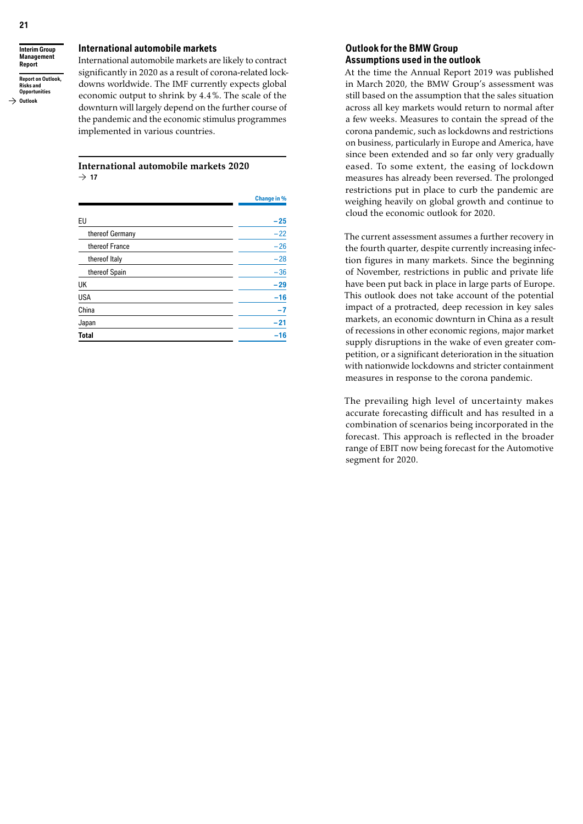**Interim Group Management Report Report on Outlook, Risks and** 

**Opportunities**  $\rightarrow$  Outlook

#### **International automobile markets**

International automobile markets are likely to contract significantly in 2020 as a result of corona-related lockdowns worldwide. The IMF currently expects global economic output to shrink by 4.4%. The scale of the downturn will largely depend on the further course of the pandemic and the economic stimulus programmes implemented in various countries.

#### **International automobile markets 2020**  $\rightarrow$  17

|                 | <b>Change in %</b> |
|-----------------|--------------------|
| EU              | $-25$              |
|                 |                    |
| thereof Germany | $-22$              |
| thereof France  | $-26$              |
| thereof Italy   | $-28$              |
| thereof Spain   | $-36$              |
| UK              | $-29$              |
| USA             | $-16$              |
| China           | $-7$               |
| Japan           | $-21$              |
| Total           | $-16$              |
|                 |                    |

### **Outlook for the BMW Group Assumptions used in the outlook**

At the time the Annual Report 2019 was published in March 2020, the BMW Group's assessment was still based on the assumption that the sales situation across all key markets would return to normal after a few weeks. Measures to contain the spread of the corona pandemic, such as lockdowns and restrictions on business, particularly in Europe and America, have since been extended and so far only very gradually eased. To some extent, the easing of lockdown measures has already been reversed. The prolonged restrictions put in place to curb the pandemic are weighing heavily on global growth and continue to cloud the economic outlook for 2020.

The current assessment assumes a further recovery in the fourth quarter, despite currently increasing infection figures in many markets. Since the beginning of November, restrictions in public and private life have been put back in place in large parts of Europe. This outlook does not take account of the potential impact of a protracted, deep recession in key sales markets, an economic downturn in China as a result of recessions in other economic regions, major market supply disruptions in the wake of even greater competition, or a significant deterioration in the situation with nationwide lockdowns and stricter containment measures in response to the corona pandemic.

The prevailing high level of uncertainty makes accurate forecasting difficult and has resulted in a combination of scenarios being incorporated in the forecast. This approach is reflected in the broader range of EBIT now being forecast for the Automotive segment for 2020.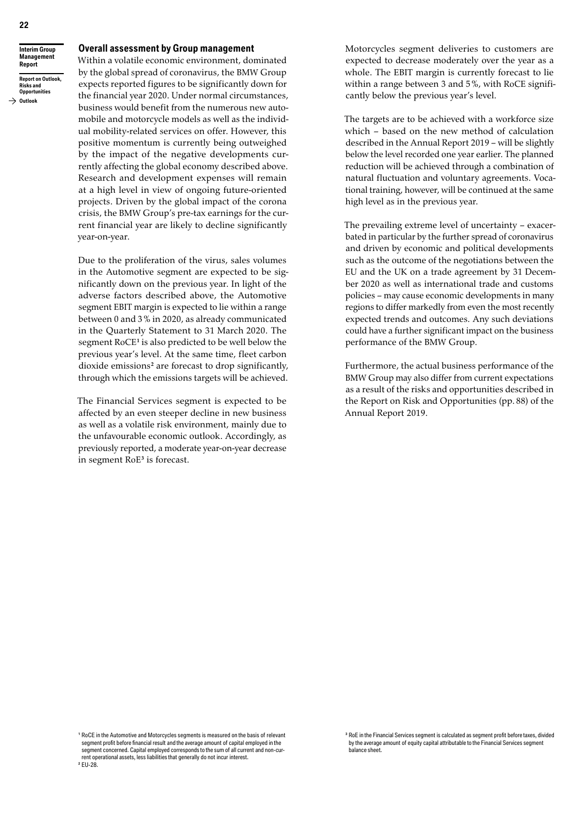**Interim Group Management Report Report on Outlook, Risks and** 

#### **Opportunities**  $\rightarrow$  Outlook

### **Overall assessment by Group management**

Within a volatile economic environment, dominated by the global spread of coronavirus, the BMW Group expects reported figures to be significantly down for the financial year 2020. Under normal circumstances, business would benefit from the numerous new automobile and motorcycle models as well as the individual mobility-related services on offer. However, this positive momentum is currently being outweighed by the impact of the negative developments currently affecting the global economy described above. Research and development expenses will remain at a high level in view of ongoing future-oriented projects. Driven by the global impact of the corona crisis, the BMW Group's pre-tax earnings for the current financial year are likely to decline significantly year-on-year.

Due to the proliferation of the virus, sales volumes in the Automotive segment are expected to be significantly down on the previous year. In light of the adverse factors described above, the Automotive segment EBIT margin is expected to lie within a range between 0 and 3 % in 2020, as already communicated in the Quarterly Statement to 31 March 2020. The segment RoCE**<sup>1</sup>** is also predicted to be well below the previous year's level. At the same time, fleet carbon dioxide emissions<sup>2</sup> are forecast to drop significantly, through which the emissions targets will be achieved.

The Financial Services segment is expected to be affected by an even steeper decline in new business as well as a volatile risk environment, mainly due to the unfavourable economic outlook. Accordingly, as previously reported, a moderate year-on-year decrease in segment RoE**<sup>3</sup>** is forecast.

Motorcycles segment deliveries to customers are expected to decrease moderately over the year as a whole. The EBIT margin is currently forecast to lie within a range between 3 and 5%, with RoCE significantly below the previous year's level.

The targets are to be achieved with a workforce size which – based on the new method of calculation described in the Annual Report 2019 – will be slightly below the level recorded one year earlier. The planned reduction will be achieved through a combination of natural fluctuation and voluntary agreements. Vocational training, however, will be continued at the same high level as in the previous year.

The prevailing extreme level of uncertainty – exacerbated in particular by the further spread of coronavirus and driven by economic and political developments such as the outcome of the negotiations between the EU and the UK on a trade agreement by 31 December 2020 as well as international trade and customs policies – may cause economic developments in many regions to differ markedly from even the most recently expected trends and outcomes. Any such deviations could have a further significant impact on the business performance of the BMW Group.

Furthermore, the actual business performance of the BMW Group may also differ from current expectations as a result of the risks and opportunities described in the Report on Risk and Opportunities (pp. 88) of the Annual Report 2019.

**<sup>3</sup>** RoE in the Financial Services segment is calculated as segment profit before taxes, divided by the average amount of equity capital attributable to the Financial Services segment balance sheet.

**<sup>1</sup>** RoCE in the Automotive and Motorcycles segments is measured on the basis of relevant segment profit before financial result and the average amount of capital employed in the segment concerned. Capital employed corresponds to the sum of all current and non-current operational assets, less liabilities that generally do not incur interest. **<sup>2</sup>** EU-28.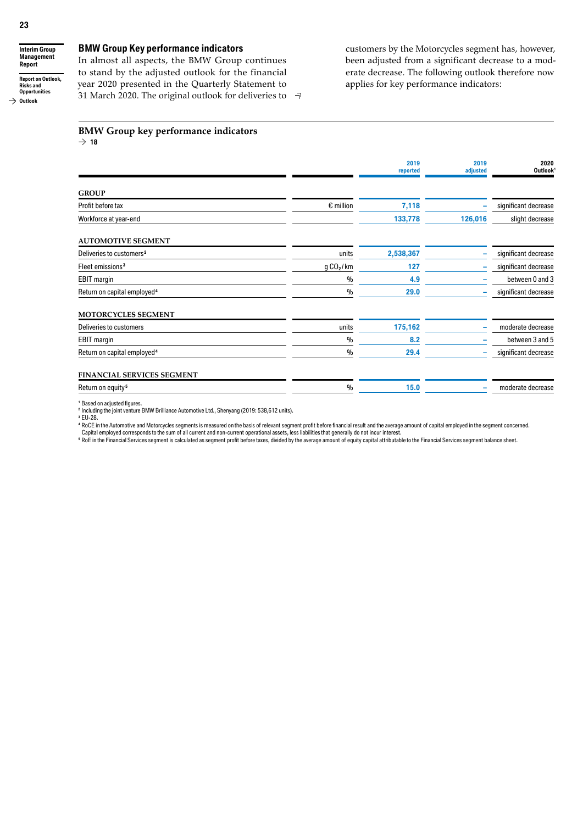$\rightarrow$  Outlook

**Interim Group Management Report Report on Outlook, Risks and Opportunities**

### **BMW Group Key performance indicators**

In almost all aspects, the BMW Group continues to stand by the adjusted outlook for the financial year 2020 presented in the Quarterly Statement to 31 March 2020. The original outlook for deliveries to customers by the Motorcycles segment has, however, been adjusted from a significant decrease to a moderate decrease. The following outlook therefore now applies for key performance indicators:

#### **BMW Group key performance indicators**  $\rightarrow$  18

|                                         |                       | 2019<br>reported | 2019<br>adjusted | 2020<br>Outlook <sup>1</sup> |
|-----------------------------------------|-----------------------|------------------|------------------|------------------------------|
|                                         |                       |                  |                  |                              |
| <b>GROUP</b>                            |                       |                  |                  |                              |
| Profit before tax                       | $\epsilon$ million    | 7,118            |                  | significant decrease         |
| Workforce at year-end                   |                       | 133,778          | 126,016          | slight decrease              |
| <b>AUTOMOTIVE SEGMENT</b>               |                       |                  |                  |                              |
| Deliveries to customers <sup>2</sup>    | units                 | 2,538,367        |                  | significant decrease         |
| Fleet emissions <sup>3</sup>            | g CO <sub>2</sub> /km | 127              |                  | significant decrease         |
| <b>EBIT</b> margin                      | $\frac{0}{0}$         | 4.9              |                  | between 0 and 3              |
| Return on capital employed <sup>4</sup> | $\%$                  | 29.0             |                  | significant decrease         |
| MOTORCYCLES SEGMENT                     |                       |                  |                  |                              |
| Deliveries to customers                 | units                 | 175,162          |                  | moderate decrease            |
| <b>EBIT</b> margin                      | $\frac{0}{0}$         | 8.2              |                  | between 3 and 5              |
| Return on capital employed <sup>4</sup> | $\frac{0}{0}$         | 29.4             | ۰                | significant decrease         |
| <b>FINANCIAL SERVICES SEGMENT</b>       |                       |                  |                  |                              |
| Return on equity <sup>5</sup>           | $\%$                  | 15.0             |                  | moderate decrease            |

구

**<sup>1</sup>** Based on adjusted figures.

<sup>2</sup> Including the joint venture BMW Brilliance Automotive Ltd., Shenyang (2019: 538,612 units).

**<sup>3</sup>** EU-28.

**<sup>4</sup>** RoCE in the Automotive and Motorcycles segments is measured on the basis of relevant segment profit before financial result and the average amount of capital employed in the segment concerned.

Capital employed corresponds to the sum of all current and non-current operational assets, less liabilities that generally do not incur interest.<br>『 RoE in the Financial Services segment is calculated as segment profit befo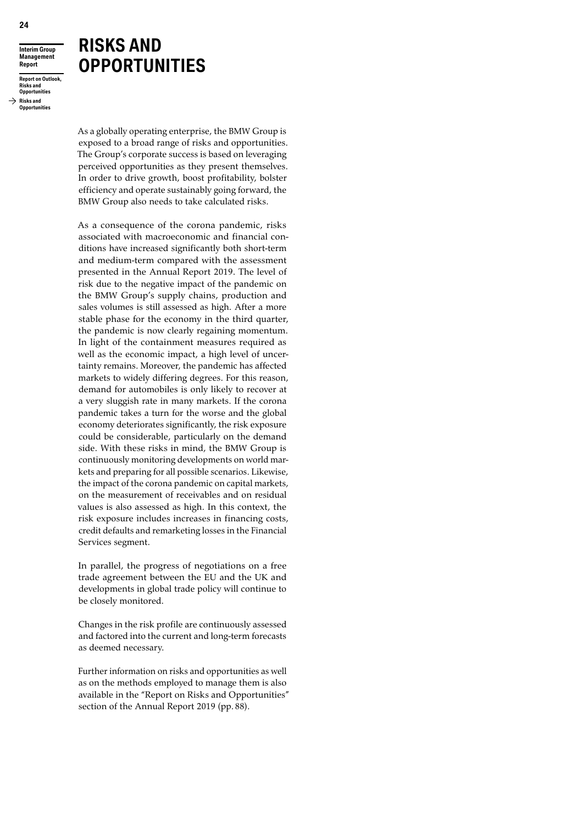## **RISKS AND OPPORTUNITIES**

**Report Report on Outlook, Risks and Opportunities**

**Interim Group Management** 

**Risks and Opportunities**

> As a globally operating enterprise, the BMW Group is exposed to a broad range of risks and opportunities. The Group's corporate success is based on leveraging perceived opportunities as they present themselves. In order to drive growth, boost profitability, bolster efficiency and operate sustainably going forward, the BMW Group also needs to take calculated risks.

> As a consequence of the corona pandemic, risks associated with macroeconomic and financial conditions have increased significantly both short-term and medium-term compared with the assessment presented in the Annual Report 2019. The level of risk due to the negative impact of the pandemic on the BMW Group's supply chains, production and sales volumes is still assessed as high. After a more stable phase for the economy in the third quarter, the pandemic is now clearly regaining momentum. In light of the containment measures required as well as the economic impact, a high level of uncertainty remains. Moreover, the pandemic has affected markets to widely differing degrees. For this reason, demand for automobiles is only likely to recover at a very sluggish rate in many markets. If the corona pandemic takes a turn for the worse and the global economy deteriorates significantly, the risk exposure could be considerable, particularly on the demand side. With these risks in mind, the BMW Group is continuously monitoring developments on world markets and preparing for all possible scenarios. Likewise, the impact of the corona pandemic on capital markets, on the measurement of receivables and on residual values is also assessed as high. In this context, the risk exposure includes increases in financing costs, credit defaults and remarketing losses in the Financial Services segment.

> In parallel, the progress of negotiations on a free trade agreement between the EU and the UK and developments in global trade policy will continue to be closely monitored.

> Changes in the risk profile are continuously assessed and factored into the current and long-term forecasts as deemed necessary.

> Further information on risks and opportunities as well as on the methods employed to manage them is also available in the "Report on Risks and Opportunities" section of the Annual Report 2019 (pp. 88).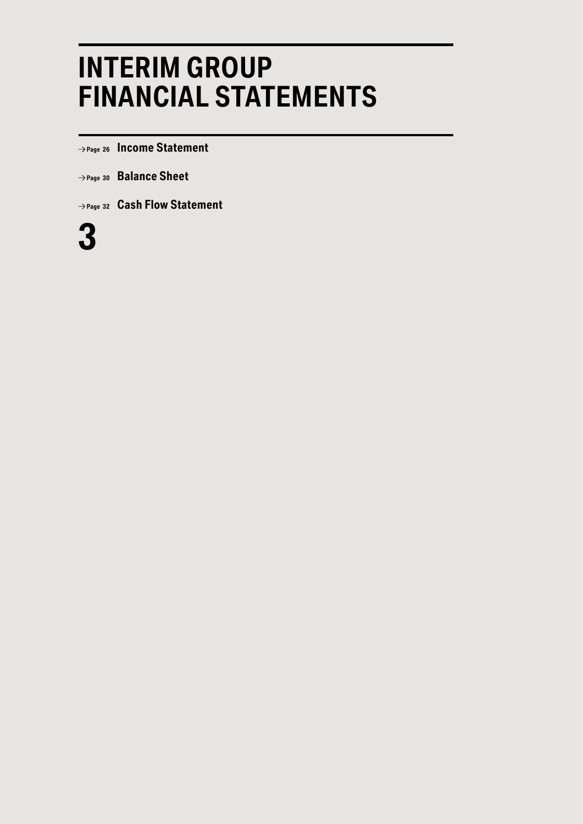# **INTERIM GROUP FINANCIAL STATEMENTS**

 **Page <sup>26</sup> Income Statement**

- **Page <sup>30</sup> Balance Sheet**
- **Page <sup>32</sup> Cash Flow Statement**

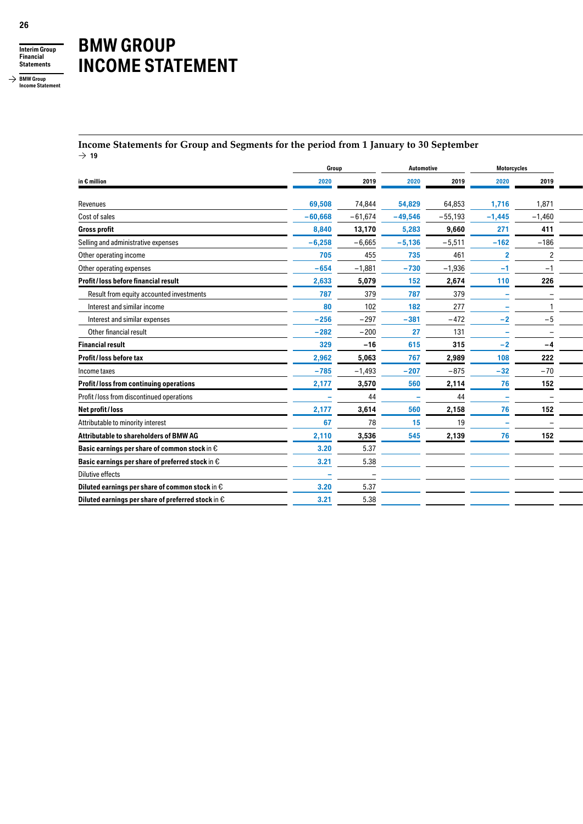

**BMW Group Income Statement**

# **BMW GROUP INCOME STATEMENT**

#### **Income Statements for Group and Segments for the period from 1 January to 30 September**  $\rightarrow$  19

|                                                             | Group     |           | Automotive |           | Motorcycles              |                          |
|-------------------------------------------------------------|-----------|-----------|------------|-----------|--------------------------|--------------------------|
| in $\epsilon$ million                                       | 2020      | 2019      | 2020       | 2019      | 2020                     | 2019                     |
| Revenues                                                    | 69,508    | 74,844    | 54,829     | 64,853    | 1,716                    | 1,871                    |
| Cost of sales                                               | $-60,668$ | $-61,674$ | $-49,546$  | $-55,193$ | $-1,445$                 | $-1,460$                 |
| <b>Gross profit</b>                                         | 8,840     | 13,170    | 5,283      | 9,660     | 271                      | 411                      |
| Selling and administrative expenses                         | $-6,258$  | $-6,665$  | $-5,136$   | $-5,511$  | $-162$                   | $-186$                   |
| Other operating income                                      | 705       | 455       | 735        | 461       | $\cdot$                  | $\overline{2}$           |
| Other operating expenses                                    | $-654$    | $-1,881$  | $-730$     | $-1,936$  | $-1$                     | $-1$                     |
| Profit/loss before financial result                         | 2,633     | 5,079     | 152        | 2,674     | 110                      | 226                      |
| Result from equity accounted investments                    | 787       | 379       | 787        | 379       | $\sim$                   | $\overline{\phantom{0}}$ |
| Interest and similar income                                 | 80        | 102       | 182        | 277       | $\sim$                   |                          |
| Interest and similar expenses                               | $-256$    | $-297$    | $-381$     | $-472$    | $-2$                     | $-5$                     |
| Other financial result                                      | $-282$    | $-200$    | 27         | 131       | $\sim$                   |                          |
| <b>Financial result</b>                                     | 329       | $-16$     | 615        | 315       | $-2$                     | $-4$                     |
| Profit/loss before tax                                      | 2,962     | 5,063     | 767        | 2,989     | 108                      | 222                      |
| Income taxes                                                | $-785$    | $-1,493$  | $-207$     | $-875$    | $-32$                    | $-70$                    |
| Profit/loss from continuing operations                      | 2,177     | 3,570     | 560        | 2,114     | 76                       | 152                      |
| Profit / loss from discontinued operations                  |           | 44        |            | 44        | $\overline{\phantom{a}}$ | $\overline{\phantom{0}}$ |
| Net profit / loss                                           | 2,177     | 3,614     | 560        | 2,158     | 76                       | 152                      |
| Attributable to minority interest                           | 67        | 78        | 15         | 19        | $\overline{\phantom{a}}$ | $\overline{\phantom{0}}$ |
| Attributable to shareholders of BMW AG                      | 2,110     | 3,536     | 545        | 2,139     | 76                       | 152                      |
| Basic earnings per share of common stock in €               | 3.20      | 5.37      |            |           |                          |                          |
| Basic earnings per share of preferred stock in $\epsilon$   | 3.21      | 5.38      |            |           |                          |                          |
| Dilutive effects                                            |           |           |            |           |                          |                          |
| Diluted earnings per share of common stock in $\epsilon$    | 3.20      | 5.37      |            |           |                          |                          |
| Diluted earnings per share of preferred stock in $\epsilon$ | 3.21      | 5.38      |            |           |                          |                          |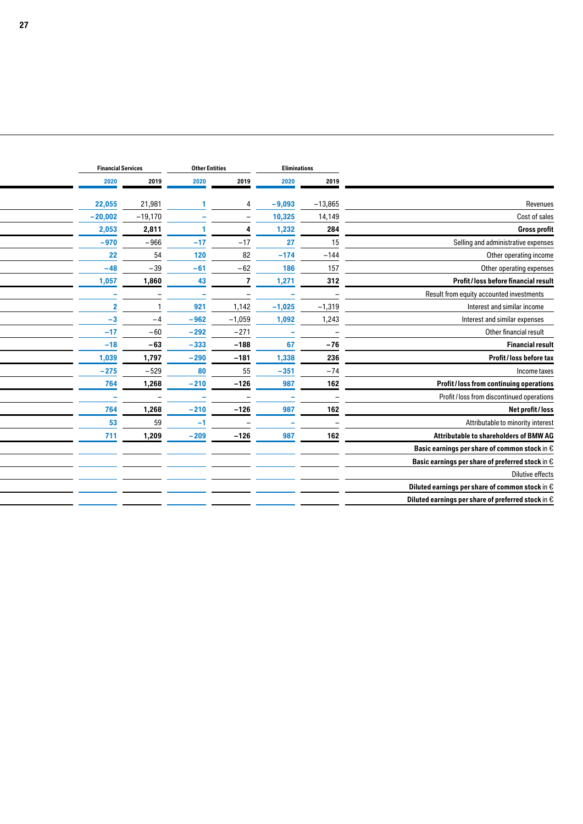|                                                              |                          | Eliminations             |                          | <b>Other Entities</b>    |                          | <b>Financial Services</b> |
|--------------------------------------------------------------|--------------------------|--------------------------|--------------------------|--------------------------|--------------------------|---------------------------|
|                                                              | 2019                     | 2020                     | 2019                     | 2020                     | 2019                     | 2020                      |
| Revenues                                                     | $-13,865$                | $-9,093$                 |                          |                          | 21,981                   | 22,055                    |
| Cost of sales                                                | 14,149                   | 10,325                   |                          |                          | $-19,170$                | $-20,002$                 |
| <b>Gross profit</b>                                          | 284                      | 1,232                    |                          |                          | 2,811                    | 2,053                     |
| Selling and administrative expenses                          | 15                       | 27                       | $-17$                    | $-17$                    | $-966$                   | $-970$                    |
| Other operating income                                       | $-144$                   | $-174$                   | 82                       | 120                      | 54                       | 22                        |
| Other operating expenses                                     | 157                      | 186                      | $-62$                    | $-61$                    | $-39$                    | $-48$                     |
| Profit/loss before financial result                          | 312                      | 1,271                    |                          | 43                       | 1,860                    | 1,057                     |
| Result from equity accounted investments                     |                          |                          | $\overline{\phantom{0}}$ | $\overline{\phantom{a}}$ |                          | ٠                         |
| Interest and similar income                                  | $-1,319$                 | $-1,025$                 | 1,142                    | 921                      |                          |                           |
| Interest and similar expenses                                | 1,243                    | 1,092                    | $-1,059$                 | $-962$                   | $-4$                     | $-3$                      |
| Other financial result                                       | $\overline{\phantom{0}}$ | $\sim$                   | $-271$                   | $-292$                   | $-60$                    | $-17$                     |
| <b>Financial result</b>                                      | $-76$                    | 67                       | $-188$                   | $-333$                   | $-63$                    | $-18$                     |
| Profit/loss before tax                                       | 236                      | 1,338                    | $-181$                   | $-290$                   | 1,797                    | 1,039                     |
| Income taxes                                                 | $-74$                    | $-351$                   | 55                       | 80                       | $-529$                   | $-275$                    |
| Profit/loss from continuing operations                       | 162                      | 987                      | $-126$                   | $-210$                   | 1,268                    | 764                       |
| Profit / loss from discontinued operations                   | $\overline{\phantom{0}}$ | $\overline{\phantom{a}}$ | $\overline{\phantom{a}}$ | $\overline{\phantom{a}}$ | $\overline{\phantom{0}}$ |                           |
| Net profit / loss                                            | 162                      | 987                      | $-126$                   | $-210$                   | 1,268                    | 764                       |
| Attributable to minority interest                            | $\overline{\phantom{a}}$ | $\overline{\phantom{a}}$ | $\overline{\phantom{0}}$ | -1                       | 59                       | 53                        |
| Attributable to shareholders of BMW AG                       | 162                      | 987                      | $-126$                   | $-209$                   | 1,209                    | 711                       |
| Basic earnings per share of common stock in $\epsilon$       |                          |                          |                          |                          |                          |                           |
| Basic earnings per share of preferred stock in $\mathfrak e$ |                          |                          |                          |                          |                          |                           |
| Dilutive effects                                             |                          |                          |                          |                          |                          |                           |
| Diluted earnings per share of common stock in $\epsilon$     |                          |                          |                          |                          |                          |                           |
| Diluted earnings per share of preferred stock in $\epsilon$  |                          |                          |                          |                          |                          |                           |
|                                                              |                          |                          |                          |                          |                          |                           |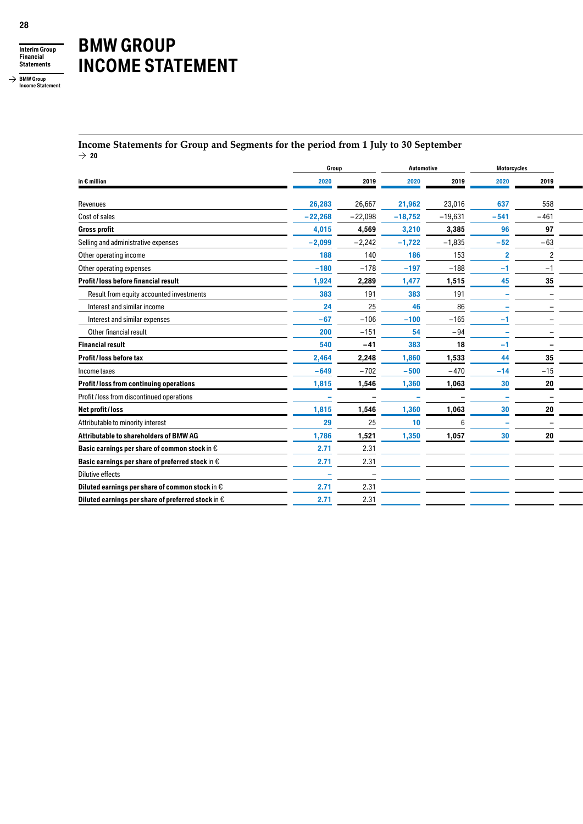

**BMW Group Income Statement**

# **BMW GROUP INCOME STATEMENT**

#### **Income Statements for Group and Segments for the period from 1 July to 30 September**  $\rightarrow$  20

|                                                                     | Group<br>Automotive |                          |                 | Motorcycles              |                          |                          |
|---------------------------------------------------------------------|---------------------|--------------------------|-----------------|--------------------------|--------------------------|--------------------------|
| in $\epsilon$ million                                               | 2020                | 2019                     | 2020            | 2019                     | 2020                     | 2019                     |
| Revenues                                                            | 26,283              | 26,667                   | 21,962          | 23,016                   | 637                      | 558                      |
| Cost of sales                                                       | $-22,268$           | $-22,098$                | $-18,752$       | $-19,631$                | $-541$                   | $-461$                   |
| <b>Gross profit</b>                                                 | 4,015               | 4,569                    | 3,210           | 3,385                    | 96                       | 97                       |
| Selling and administrative expenses                                 | $-2,099$            | $-2,242$                 | $-1,722$        | $-1,835$                 | $-52$                    | $-63$                    |
| Other operating income                                              | 188                 | 140                      | 186             | 153                      | $\overline{2}$           | ົ                        |
| Other operating expenses                                            | $-180$              | $-178$                   | $-197$          | $-188$                   | $-1$                     | -1                       |
| Profit/loss before financial result                                 | 1,924               | 2,289                    | 1,477           | 1,515                    | 45                       | 35                       |
| Result from equity accounted investments                            | 383                 | 191                      | 383             | 191                      | $\overline{\phantom{a}}$ |                          |
| Interest and similar income                                         | 24                  | 25                       | 46              | 86                       |                          |                          |
| Interest and similar expenses                                       | $-67$               | $-106$                   | $-100$          | $-165$                   | $-1$                     | $\overline{\phantom{0}}$ |
| Other financial result                                              | 200                 | $-151$                   | 54              | $-94$                    |                          |                          |
| <b>Financial result</b>                                             | 540                 | $-41$                    | 383             | 18                       | $-1$                     | $\overline{\phantom{0}}$ |
| Profit/loss before tax                                              | 2,464               | 2,248                    | 1,860           | 1,533                    | 44                       | 35                       |
| Income taxes                                                        | $-649$              | $-702$                   | $-500$          | $-470$                   | $-14$                    | $-15$                    |
| Profit/loss from continuing operations                              | 1,815               | 1,546                    | 1,360           | 1,063                    | 30                       | 20                       |
| Profit / loss from discontinued operations                          | ۰                   | $\overline{\phantom{0}}$ |                 | $\overline{\phantom{0}}$ | $\overline{\phantom{a}}$ | $\overline{\phantom{0}}$ |
| Net profit/loss                                                     | 1,815               | 1,546                    | 1,360           | 1,063                    | 30                       | 20                       |
| Attributable to minority interest                                   | 29                  | 25                       | 10 <sub>1</sub> | 6                        | $\overline{\phantom{a}}$ | $\overline{\phantom{a}}$ |
| Attributable to shareholders of BMW AG                              | 1,786               | 1,521                    | 1,350           | 1,057                    | 30                       | 20                       |
| Basic earnings per share of common stock in $\epsilon$              | 2.71                | 2.31                     |                 |                          |                          |                          |
| Basic earnings per share of preferred stock in $\epsilon$           | 2.71                | 2.31                     |                 |                          |                          |                          |
| <b>Dilutive effects</b>                                             |                     | $\overline{\phantom{a}}$ |                 |                          |                          |                          |
| Diluted earnings per share of common stock in $\mathop{\mathsf{E}}$ | 2.71                | 2.31                     |                 |                          |                          |                          |
| Diluted earnings per share of preferred stock in $\epsilon$         | 2.71                | 2.31                     |                 |                          |                          |                          |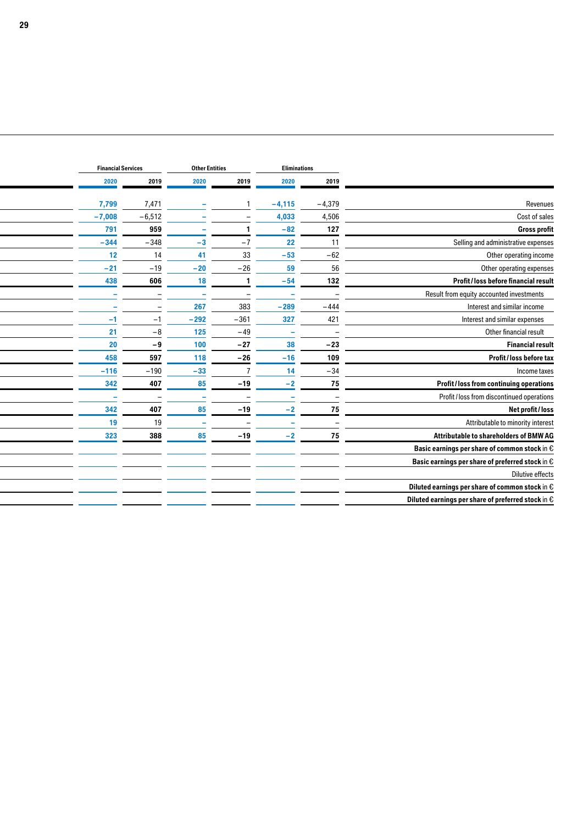|                                                              |                          | Eliminations             |                          |                          |          |          | <b>Other Entities</b> |  |  |  | <b>Financial Services</b> |  |
|--------------------------------------------------------------|--------------------------|--------------------------|--------------------------|--------------------------|----------|----------|-----------------------|--|--|--|---------------------------|--|
|                                                              | 2019                     | 2020                     | 2019                     | 2020                     | 2019     | 2020     |                       |  |  |  |                           |  |
| Revenues                                                     | $-4,379$                 | $-4,115$                 |                          | $\overline{\phantom{a}}$ | 7,471    | 7,799    |                       |  |  |  |                           |  |
| Cost of sales                                                | 4,506                    | 4,033                    |                          |                          | $-6,512$ | $-7,008$ |                       |  |  |  |                           |  |
| <b>Gross profit</b>                                          | 127                      | $-82$                    |                          |                          | 959      | 791      |                       |  |  |  |                           |  |
| Selling and administrative expenses                          | 11                       | 22                       | $-7$                     | $-3$                     | $-348$   | $-344$   |                       |  |  |  |                           |  |
| Other operating income                                       | $-62$                    | $-53$                    | 33                       | 41                       | 14       | 12       |                       |  |  |  |                           |  |
| Other operating expenses                                     | 56                       | 59                       | $-26$                    | $-20$                    | $-19$    | $-21$    |                       |  |  |  |                           |  |
| Profit/loss before financial result                          | 132                      | $-54$                    |                          | 18                       | 606      | 438      |                       |  |  |  |                           |  |
| Result from equity accounted investments                     | $\overline{\phantom{0}}$ |                          | $\overline{\phantom{a}}$ | $\overline{\phantom{a}}$ |          | ۰        |                       |  |  |  |                           |  |
| Interest and similar income                                  | $-444$                   | $-289$                   | 383                      | 267                      |          |          |                       |  |  |  |                           |  |
| Interest and similar expenses                                | 421                      | 327                      | $-361$                   | $-292$                   | $-1$     | $-1$     |                       |  |  |  |                           |  |
| Other financial result                                       | $\overline{\phantom{0}}$ | $\sim$                   | $-49$                    | 125                      | $-8$     | 21       |                       |  |  |  |                           |  |
| <b>Financial result</b>                                      | $-23$                    | 38                       | $-27$                    | 100                      | -9       | 20       |                       |  |  |  |                           |  |
| Profit/loss before tax                                       | 109                      | $-16$                    | $-26$                    | 118                      | 597      | 458      |                       |  |  |  |                           |  |
| Income taxes                                                 | $-34$                    | 14                       |                          | $-33$                    | $-190$   | $-116$   |                       |  |  |  |                           |  |
| Profit/loss from continuing operations                       | 75                       | $-2$                     | $-19$                    | 85                       | 407      | 342      |                       |  |  |  |                           |  |
| Profit / loss from discontinued operations                   |                          | -                        |                          | $\sim$                   |          |          |                       |  |  |  |                           |  |
| Net profit / loss                                            | 75                       | $-2$                     | $-19$                    | 85                       | 407      | 342      |                       |  |  |  |                           |  |
| Attributable to minority interest                            | $\overline{\phantom{0}}$ | $\overline{\phantom{a}}$ | $\overline{\phantom{a}}$ | $\overline{\phantom{a}}$ | 19       | 19       |                       |  |  |  |                           |  |
| Attributable to shareholders of BMW AG                       | 75                       | -2                       | $-19$                    | 85                       | 388      | 323      |                       |  |  |  |                           |  |
| Basic earnings per share of common stock in $\mathfrak e$    |                          |                          |                          |                          |          |          |                       |  |  |  |                           |  |
| Basic earnings per share of preferred stock in $\mathfrak e$ |                          |                          |                          |                          |          |          |                       |  |  |  |                           |  |
| Dilutive effects                                             |                          |                          |                          |                          |          |          |                       |  |  |  |                           |  |
| Diluted earnings per share of common stock in $\epsilon$     |                          |                          |                          |                          |          |          |                       |  |  |  |                           |  |
| Diluted earnings per share of preferred stock in $\epsilon$  |                          |                          |                          |                          |          |          |                       |  |  |  |                           |  |
|                                                              |                          |                          |                          |                          |          |          |                       |  |  |  |                           |  |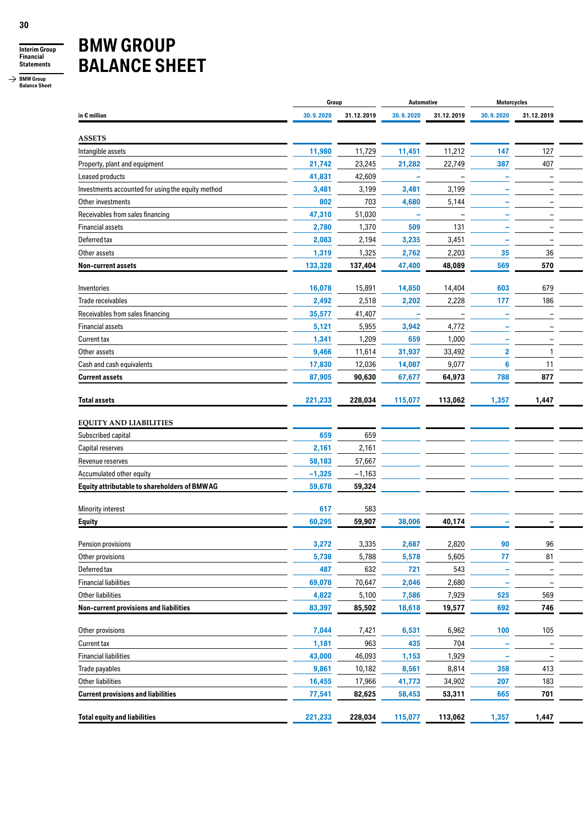

**BMW Group Balance Sheet**

# **BMW GROUP BALANCE SHEET**

|                                                                      | Group     |            | Automotive               |                          | Motorcycles              |                          |  |
|----------------------------------------------------------------------|-----------|------------|--------------------------|--------------------------|--------------------------|--------------------------|--|
| in $\epsilon$ million                                                | 30.9.2020 | 31.12.2019 | 30.9.2020                | 31.12.2019               | 30.9.2020                | 31.12.2019               |  |
|                                                                      |           |            |                          |                          |                          |                          |  |
| <b>ASSETS</b><br>Intangible assets                                   | 11,980    | 11,729     | 11,451                   | 11,212                   | 147                      | 127                      |  |
| Property, plant and equipment                                        | 21,742    | 23,245     | 21,282                   | 22,749                   | 387                      | 407                      |  |
|                                                                      |           | 42,609     | $\sim$                   | $\overline{\phantom{0}}$ |                          | $\overline{\phantom{0}}$ |  |
| Leased products<br>Investments accounted for using the equity method | 41,831    | 3,199      |                          | 3,199                    |                          |                          |  |
|                                                                      | 3,481     |            | 3,481                    |                          |                          |                          |  |
| Other investments                                                    | 802       | 703        | 4,680                    | 5,144                    |                          |                          |  |
| Receivables from sales financing                                     | 47,310    | 51,030     | $\overline{\phantom{a}}$ | $\overline{\phantom{0}}$ |                          |                          |  |
| <b>Financial assets</b>                                              | 2,780     | 1,370      | 509                      | 131                      |                          |                          |  |
| Deferred tax                                                         | 2,083     | 2,194      | 3,235                    | 3,451                    | $\overline{\phantom{a}}$ |                          |  |
| Other assets                                                         | 1,319     | 1,325      | 2,762                    | 2,203                    | 35                       | 36                       |  |
| <b>Non-current assets</b>                                            | 133,328   | 137,404    | 47,400                   | 48,089                   | 569                      | 570                      |  |
| Inventories                                                          | 16,078    | 15,891     | 14,850                   | 14,404                   | 603                      | 679                      |  |
| Trade receivables                                                    | 2,492     | 2,518      | 2,202                    | 2,228                    | 177                      | 186                      |  |
| Receivables from sales financing                                     | 35,577    | 41,407     | $\overline{\phantom{a}}$ | $\overline{\phantom{a}}$ | $\overline{\phantom{a}}$ | $\overline{\phantom{a}}$ |  |
| <b>Financial assets</b>                                              | 5,121     | 5,955      | 3,942                    | 4,772                    |                          |                          |  |
| Current tax                                                          | 1,341     | 1,209      | 659                      | 1,000                    |                          |                          |  |
| Other assets                                                         | 9,466     | 11,614     | 31,937                   | 33,492                   | 2                        |                          |  |
| Cash and cash equivalents                                            | 17,830    | 12,036     | 14,087                   | 9,077                    |                          | 11                       |  |
| <b>Current assets</b>                                                | 87,905    | 90,630     | 67,677                   | 64,973                   | 788                      | 877                      |  |
|                                                                      |           |            |                          |                          |                          |                          |  |
| <b>Total assets</b>                                                  | 221,233   | 228,034    | 115,077                  | 113,062                  | 1,357                    | 1,447                    |  |
| <b>EQUITY AND LIABILITIES</b>                                        |           |            |                          |                          |                          |                          |  |
| Subscribed capital                                                   | 659       | 659        |                          |                          |                          |                          |  |
|                                                                      |           |            |                          |                          |                          |                          |  |
| Capital reserves                                                     | 2,161     | 2,161      |                          |                          |                          |                          |  |
| Revenue reserves                                                     | 58,183    | 57,667     |                          |                          |                          |                          |  |
| Accumulated other equity                                             | $-1,325$  | $-1,163$   |                          |                          |                          |                          |  |
| Equity attributable to shareholders of BMWAG                         | 59,678    | 59,324     |                          |                          |                          |                          |  |
| Minority interest                                                    | 617       | 583        |                          |                          |                          |                          |  |
| <b>Equity</b>                                                        | 60,295    | 59,907     | 38,006                   | 40,174                   |                          |                          |  |
|                                                                      |           |            |                          |                          |                          |                          |  |
| Pension provisions                                                   | 3,272     | 3,335      | 2,687                    | 2,820                    | 90                       | 96                       |  |
| Other provisions                                                     | 5,738     | 5,788      | 5,578                    | 5,605                    | 77                       | 81                       |  |
| Deferred tax                                                         | 487       | 632        | 721                      | 543                      | $\overline{\phantom{a}}$ | $\qquad \qquad -$        |  |
| <b>Financial liabilities</b>                                         | 69,078    | 70,647     | 2,046                    | 2,680                    | $\sim$                   | $\overline{\phantom{a}}$ |  |
| Other liabilities                                                    | 4,822     | 5,100      | 7,586                    | 7,929                    | 525                      | 569                      |  |
| Non-current provisions and liabilities                               | 83,397    | 85,502     | 18,618                   | 19,577                   | 692                      | 746                      |  |
|                                                                      |           |            |                          |                          |                          |                          |  |
| Other provisions                                                     | 7,044     | 7,421      | 6,531                    | 6,962                    | 100                      | 105                      |  |
| Current tax                                                          | 1,181     | 963        | 435                      | 704                      | $\sim$                   | $\overline{\phantom{a}}$ |  |
| <b>Financial liabilities</b>                                         | 43,000    | 46,093     | 1,153                    | 1,929                    | $\sim$                   | $\overline{\phantom{a}}$ |  |
| Trade payables                                                       | 9,861     | 10,182     | 8,561                    | 8,814                    | 358                      | 413                      |  |
| Other liabilities                                                    | 16,455    | 17,966     | 41,773                   | 34,902                   | 207                      | 183                      |  |
| <b>Current provisions and liabilities</b>                            | 77,541    | 82,625     | 58,453                   | 53,311                   | 665                      | 701                      |  |
|                                                                      |           |            |                          |                          |                          |                          |  |
| <b>Total equity and liabilities</b>                                  | 221,233   | 228,034    | 115,077                  | 113,062                  | 1,357                    | 1,447                    |  |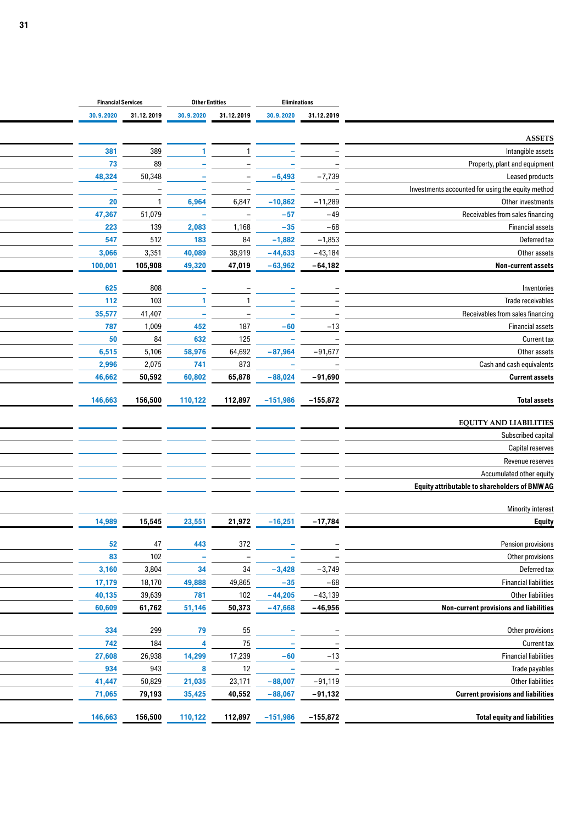|                                                                        |                                       | Eliminations             |                            | <b>Other Entities</b>             |                  | <b>Financial Services</b> |
|------------------------------------------------------------------------|---------------------------------------|--------------------------|----------------------------|-----------------------------------|------------------|---------------------------|
|                                                                        | 31.12.2019                            | 30.9.2020                | 31.12.2019                 | 30.9.2020                         | 31.12.2019       | 30.9.2020                 |
|                                                                        |                                       |                          |                            |                                   |                  |                           |
| <b>ASSETS</b><br>Intangible assets                                     |                                       |                          |                            |                                   | 389              | 381                       |
|                                                                        |                                       |                          |                            |                                   | 89               | 73                        |
| Property, plant and equipment<br>Leased products                       | $-7,739$                              | $-6,493$                 |                            |                                   | 50,348           | 48,324                    |
|                                                                        |                                       |                          |                            |                                   |                  |                           |
| Investments accounted for using the equity method<br>Other investments | $\overline{\phantom{a}}$<br>$-11,289$ | $-10,862$                | $\qquad \qquad -$<br>6,847 | $\overline{\phantom{0}}$<br>6,964 | $\hspace{0.1mm}$ | $\sim$<br>20              |
| Receivables from sales financing                                       | $-49$                                 | $-57$                    | $\overline{\phantom{0}}$   | $\sim$                            | 51,079           | 47,367                    |
| <b>Financial assets</b>                                                | $-68$                                 | $-35$                    | 1,168                      | 2,083                             | 139              | 223                       |
| Deferred tax                                                           | $-1,853$                              | $-1,882$                 | 84                         | 183                               | 512              | 547                       |
| Other assets                                                           | $-43,184$                             | $-44,633$                | 38,919                     | 40,089                            | 3,351            | 3,066                     |
| Non-current assets                                                     | $-64,182$                             | $-63,962$                | 47,019                     | 49,320                            | 105,908          | 100,001                   |
|                                                                        |                                       |                          |                            |                                   |                  |                           |
| Inventories                                                            |                                       |                          |                            |                                   | 808              | 625                       |
| Trade receivables                                                      |                                       |                          |                            |                                   | 103              | 112                       |
| Receivables from sales financing                                       |                                       |                          |                            | $\overline{\phantom{a}}$          | 41,407           | 35,577                    |
| <b>Financial assets</b>                                                | $-13$                                 | $-60$                    | 187                        | 452                               | 1,009            | 787                       |
| Current tax                                                            | $\overline{\phantom{0}}$              |                          | 125                        | 632                               | 84               | 50                        |
| Other assets                                                           | $-91,677$                             | $-87,964$                | 64,692                     | 58,976                            | 5,106            | 6,515                     |
| Cash and cash equivalents                                              | $\overline{\phantom{a}}$              |                          | 873                        | 741                               | 2,075            | 2,996                     |
| <b>Current assets</b>                                                  | $-91,690$                             | $-88,024$                | 65,878                     | 60,802                            | 50,592           | 46,662                    |
| <b>Total assets</b>                                                    | $-155,872$                            | $-151,986$               | 112,897                    | 110,122                           | 156,500          | 146,663                   |
|                                                                        |                                       |                          |                            |                                   |                  |                           |
| <b>EQUITY AND LIABILITIES</b><br>Subscribed capital                    |                                       |                          |                            |                                   |                  |                           |
| Capital reserves                                                       |                                       |                          |                            |                                   |                  |                           |
| Revenue reserves                                                       |                                       |                          |                            |                                   |                  |                           |
| Accumulated other equity                                               |                                       |                          |                            |                                   |                  |                           |
| <b>Equity attributable to shareholders of BMW AG</b>                   |                                       |                          |                            |                                   |                  |                           |
|                                                                        |                                       |                          |                            |                                   |                  |                           |
| Minority interest                                                      | $-17,784$                             | $-16,251$                | 21,972                     | 23,551                            | 15,545           | 14,989                    |
|                                                                        |                                       |                          |                            |                                   |                  |                           |
| Pension provisions                                                     |                                       | $\sim$                   | 372                        | 443                               | 47               | 52                        |
| Other provisions                                                       | $\overline{\phantom{m}}$              | $\overline{\phantom{a}}$ | $\overline{\phantom{a}}$   | $\sim$                            | 102              | 83                        |
| Deferred tax                                                           | $-3,749$                              | $-3,428$                 | $34\,$                     | 34                                | 3,804            | 3,160                     |
| <b>Financial liabilities</b>                                           | $-68$                                 | $-35$                    | 49,865                     | 49,888                            | 18,170           | 17,179                    |
| Other liabilities<br>Non-current provisions and liabilities            | $-43,139$<br>$-46,956$                | $-44,205$<br>$-47,668$   | 102<br>50,373              | 781<br>51,146                     | 39,639<br>61,762 | 40,135<br>60,609          |
|                                                                        |                                       |                          |                            |                                   |                  |                           |
| Other provisions                                                       |                                       |                          | $55\,$                     | 79                                | 299              | 334                       |
|                                                                        | $\overline{\phantom{m}}$              | $\sim$                   | $75\,$                     | $\overline{4}$                    | 184              | 742                       |
| <b>Financial liabilities</b>                                           | $-13$                                 | $-60$                    | 17,239                     | 14,299                            | 26,938           | 27,608                    |
| Trade payables                                                         | $\overline{\phantom{a}}$              | $\overline{\phantom{a}}$ | 12                         | 8                                 | 943              | 934                       |
| Other liabilities                                                      | $-91,119$                             | $-88,007$                | 23,171                     | 21,035                            | 50,829           | 41,447                    |
| <b>Current provisions and liabilities</b>                              | $-91,132$                             | $-88,067$                | 40,552                     | 35,425                            | 79,193           | 71,065                    |
|                                                                        |                                       |                          |                            |                                   |                  |                           |
| <b>Total equity and liabilities</b>                                    | –155,872                              |                          | 110,122 112,897 -151,986   |                                   | 156,500          | 146,663                   |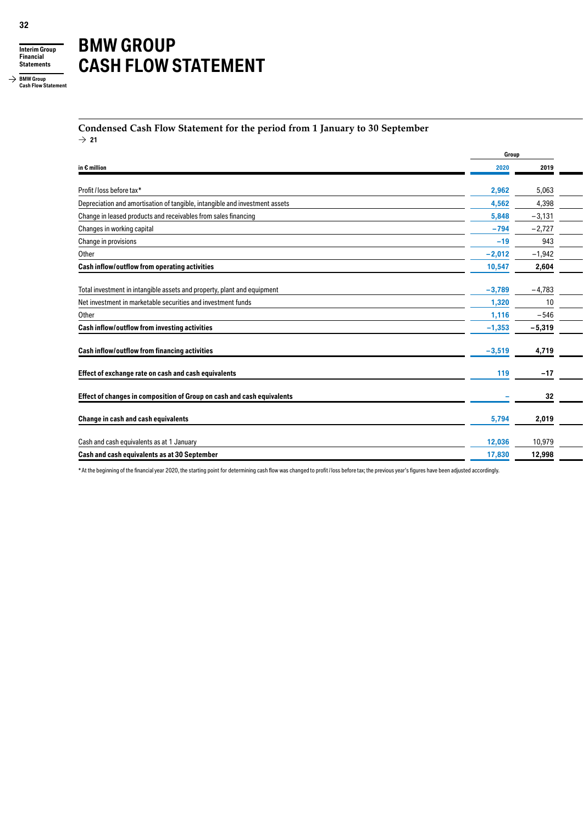

**BMW Group Cash Flow Statement**

# **BMW GROUP CASH FLOW STATEMENT**

#### **Condensed Cash Flow Statement for the period from 1 January to 30 September**  $\rightarrow$  21

|                                                                             | Group    |          |  |
|-----------------------------------------------------------------------------|----------|----------|--|
| in $\epsilon$ million                                                       | 2020     | 2019     |  |
| Profit/loss before tax*                                                     | 2,962    | 5,063    |  |
| Depreciation and amortisation of tangible, intangible and investment assets | 4,562    | 4,398    |  |
| Change in leased products and receivables from sales financing              | 5,848    | $-3,131$ |  |
| Changes in working capital                                                  | $-794$   | $-2,727$ |  |
| Change in provisions                                                        | $-19$    | 943      |  |
| Other                                                                       | $-2,012$ | $-1,942$ |  |
| Cash inflow/outflow from operating activities                               | 10,547   | 2,604    |  |
| Total investment in intangible assets and property, plant and equipment     | $-3,789$ | $-4,783$ |  |
| Net investment in marketable securities and investment funds                | 1,320    | 10       |  |
| Other                                                                       | 1,116    | $-546$   |  |
| Cash inflow/outflow from investing activities                               | $-1,353$ | $-5,319$ |  |
| Cash inflow/outflow from financing activities                               | $-3,519$ | 4,719    |  |
| Effect of exchange rate on cash and cash equivalents                        | 119      | $-17$    |  |
| Effect of changes in composition of Group on cash and cash equivalents      |          | 32       |  |
| Change in cash and cash equivalents                                         | 5,794    | 2,019    |  |
| Cash and cash equivalents as at 1 January                                   | 12,036   | 10,979   |  |
| Cash and cash equivalents as at 30 September                                | 17,830   | 12,998   |  |
|                                                                             |          |          |  |

\*At the beginning of the financial year 2020, the starting point for determining cash flow was changed to profit / loss before tax; the previous year's figures have been adjusted accordingly.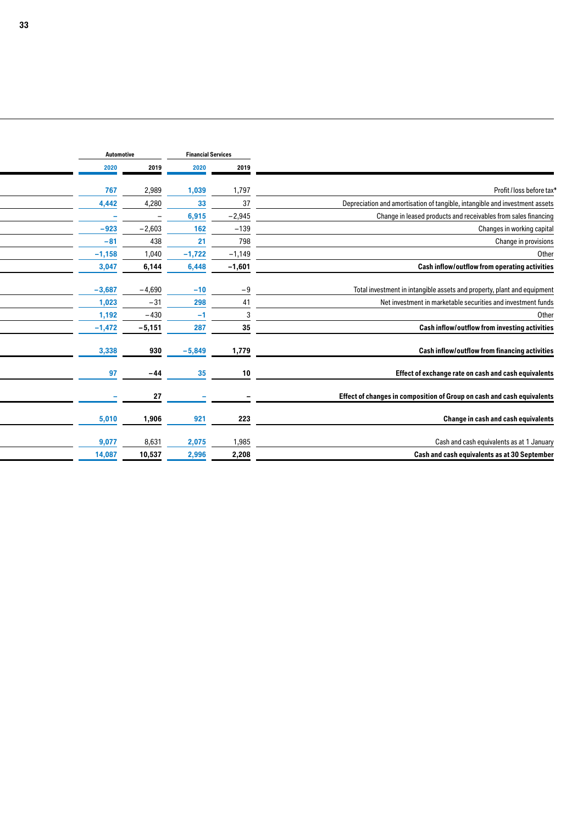|                                                                             |                          | <b>Financial Services</b> |          |                          |                          |  |  |  |  |  |  |  | Automotive |
|-----------------------------------------------------------------------------|--------------------------|---------------------------|----------|--------------------------|--------------------------|--|--|--|--|--|--|--|------------|
|                                                                             | 2019                     |                           | 2020     | 2019                     | 2020                     |  |  |  |  |  |  |  |            |
| Profit / loss before tax*                                                   | 1,797                    |                           | 1,039    | 2,989                    | 767                      |  |  |  |  |  |  |  |            |
| Depreciation and amortisation of tangible, intangible and investment assets | 37                       |                           | 33       | 4,280                    | 4,442                    |  |  |  |  |  |  |  |            |
| Change in leased products and receivables from sales financing              | $-2,945$                 |                           | 6,915    | $\overline{\phantom{0}}$ | $\overline{\phantom{a}}$ |  |  |  |  |  |  |  |            |
| Changes in working capital                                                  | $-139$                   |                           | 162      | $-2,603$                 | $-923$                   |  |  |  |  |  |  |  |            |
| Change in provisions                                                        | 798                      |                           | 21       | 438                      | $-81$                    |  |  |  |  |  |  |  |            |
| Other                                                                       | $-1,149$                 |                           | $-1,722$ | 1,040                    | $-1,158$                 |  |  |  |  |  |  |  |            |
| Cash inflow/outflow from operating activities                               | $-1,601$                 |                           | 6,448    | 6,144                    | 3,047                    |  |  |  |  |  |  |  |            |
|                                                                             | $-9$                     |                           | $-10$    | $-4,690$                 | $-3,687$                 |  |  |  |  |  |  |  |            |
| Total investment in intangible assets and property, plant and equipment     | 41                       |                           | 298      |                          |                          |  |  |  |  |  |  |  |            |
| Net investment in marketable securities and investment funds<br>Other       |                          |                           |          | $-31$                    | 1,023                    |  |  |  |  |  |  |  |            |
|                                                                             | 3                        |                           | $-1$     | $-430$                   | 1,192                    |  |  |  |  |  |  |  |            |
| Cash inflow/outflow from investing activities                               | 35                       |                           | 287      | $-5,151$                 | $-1,472$                 |  |  |  |  |  |  |  |            |
| Cash inflow/outflow from financing activities                               | 1,779                    |                           | $-5,849$ | 930                      | 3,338                    |  |  |  |  |  |  |  |            |
| Effect of exchange rate on cash and cash equivalents                        | 10                       |                           | 35       | $-44$                    | 97                       |  |  |  |  |  |  |  |            |
|                                                                             |                          |                           |          |                          |                          |  |  |  |  |  |  |  |            |
| Effect of changes in composition of Group on cash and cash equivalents      | $\overline{\phantom{0}}$ | $\overline{\phantom{a}}$  |          | 27                       |                          |  |  |  |  |  |  |  |            |
| Change in cash and cash equivalents                                         | 223                      |                           | 921      | 1,906                    | 5,010                    |  |  |  |  |  |  |  |            |
| Cash and cash equivalents as at 1 January                                   | 1,985                    |                           | 2,075    | 8,631                    | 9,077                    |  |  |  |  |  |  |  |            |
|                                                                             |                          |                           |          |                          |                          |  |  |  |  |  |  |  |            |
| Cash and cash equivalents as at 30 September                                | 2,208                    |                           | 2,996    | 10,537                   | 14,087                   |  |  |  |  |  |  |  |            |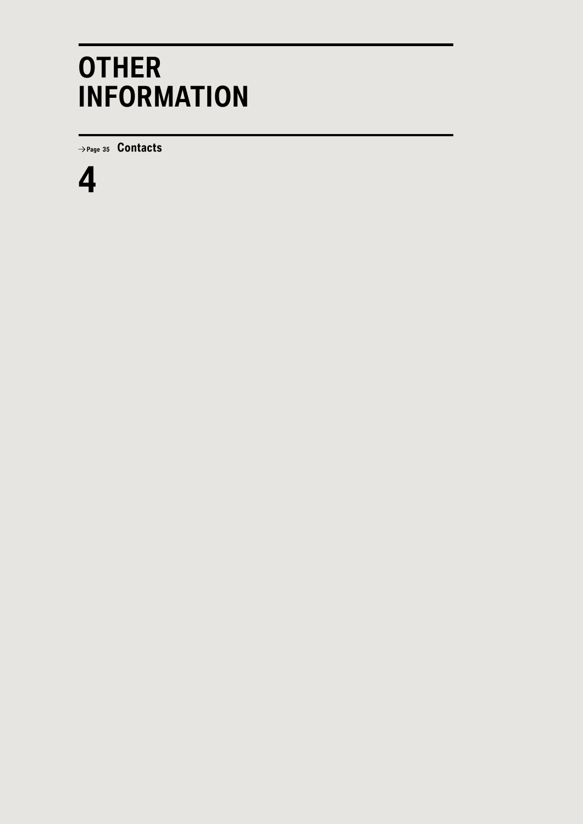# **OTHER INFORMATION**

 **Page <sup>35</sup> Contacts**

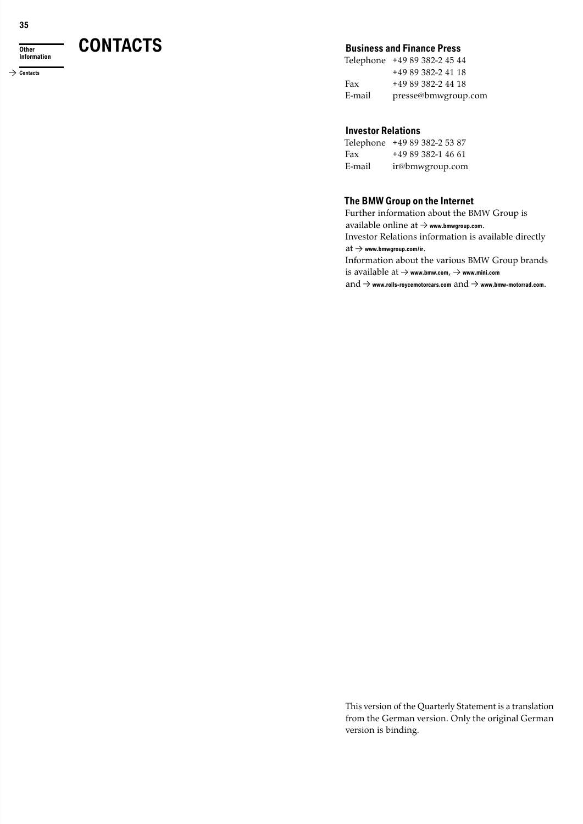**Other Information**

→ Contacts

## **CONTACTS Business and Finance Press**

Telephone +49 89 382-2 45 44 + 49 89 382-2 41 18 Fax +49 89 382-2 44 18 E-mail presse@bmwgroup.com

#### **Investor Relations**

Telephone +49 89 382-2 53 87 Fax +49 89 382-1 46 61 E-mail ir@bmwgroup.com

### **The BMW Group on the Internet**

Further information about the BMW Group is available online at **www.bmwgroup.com**. Investor Relations information is available directly  $\mathrm{at} \to$  www.bmwgroup.com/ir. Information about the various BMW Group brands is available at **www.bmw.com**, **www.mini.com**

and  $\rightarrow$  www.rolls-roycemotorcars.com  $and \rightarrow$  www.bmw-motorrad.com.

This version of the Quarterly Statement is a translation from the German version. Only the original German version is binding.